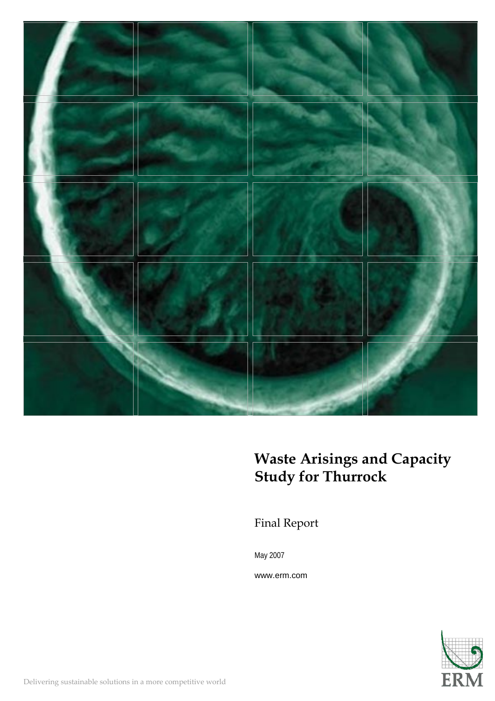

# **Waste Arisings and Capacity Study for Thurrock**

Final Report

May 2007

www.erm.com

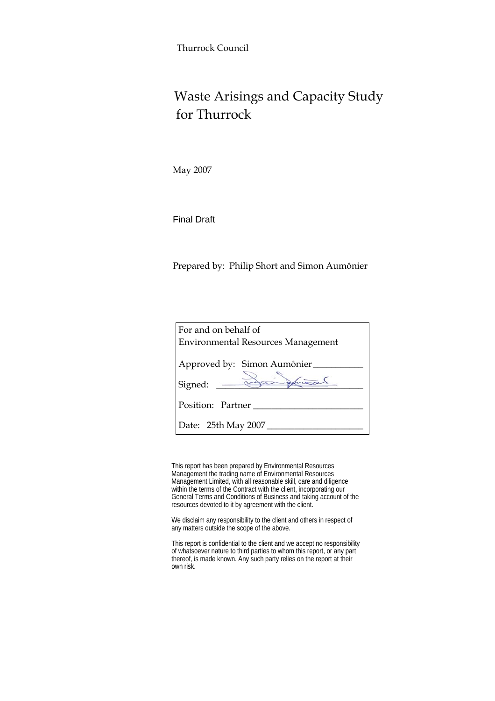Thurrock Council

# Waste Arisings and Capacity Study for Thurrock

May 2007

Final Draft

Prepared by: Philip Short and Simon Aumônier

| For and on behalf of                      |  |  |  |  |  |  |  |
|-------------------------------------------|--|--|--|--|--|--|--|
| <b>Environmental Resources Management</b> |  |  |  |  |  |  |  |
| Approved by: Simon Aumônier<br>James      |  |  |  |  |  |  |  |
| Signed: _________                         |  |  |  |  |  |  |  |
| Position: Partner                         |  |  |  |  |  |  |  |
| Date: 25th May 2007                       |  |  |  |  |  |  |  |

This report has been prepared by Environmental Resources Management the trading name of Environmental Resources Management Limited, with all reasonable skill, care and diligence within the terms of the Contract with the client, incorporating our General Terms and Conditions of Business and taking account of the resources devoted to it by agreement with the client.

We disclaim any responsibility to the client and others in respect of any matters outside the scope of the above.

This report is confidential to the client and we accept no responsibility of whatsoever nature to third parties to whom this report, or any part thereof, is made known. Any such party relies on the report at their own risk.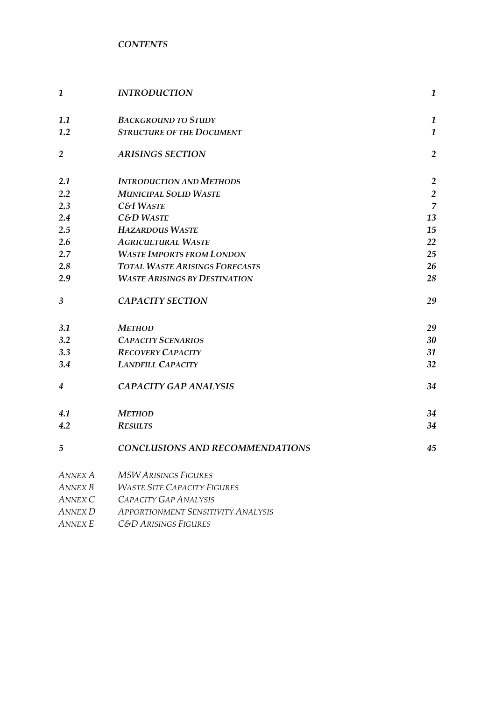*CONTENTS* 

| $\mathbf{1}$   | <b>INTRODUCTION</b>                       | $\boldsymbol{1}$ |
|----------------|-------------------------------------------|------------------|
| 1.1            | <b>BACKGROUND TO STUDY</b>                | $\boldsymbol{1}$ |
| 1.2            | <b>STRUCTURE OF THE DOCUMENT</b>          | $\mathbf{1}$     |
| $\overline{2}$ | <b>ARISINGS SECTION</b>                   | $\overline{2}$   |
| 2.1            | <b>INTRODUCTION AND METHODS</b>           | $\overline{2}$   |
| 2.2            | <b>MUNICIPAL SOLID WASTE</b>              | $\overline{2}$   |
| 2.3            | <b>C&amp;I WASTE</b>                      | $\overline{7}$   |
| 2.4            | <b>C&amp;D WASTE</b>                      | 13               |
| 2.5            | <b>HAZARDOUS WASTE</b>                    | 15               |
| 2.6            | <b>AGRICULTURAL WASTE</b>                 | 22               |
| 2.7            | <b>WASTE IMPORTS FROM LONDON</b>          | 25               |
| 2.8            | <b>TOTAL WASTE ARISINGS FORECASTS</b>     | 26               |
| 2.9            | <b>WASTE ARISINGS BY DESTINATION</b>      | 28               |
| $\mathfrak{Z}$ | <b>CAPACITY SECTION</b>                   | 29               |
| 3.1            | <b>METHOD</b>                             | 29               |
| 3.2            | <b>CAPACITY SCENARIOS</b>                 | 30               |
| 3.3            | <b>RECOVERY CAPACITY</b>                  | 31               |
| 3.4            | <b>LANDFILL CAPACITY</b>                  | 32               |
| 4              | <b>CAPACITY GAP ANALYSIS</b>              | 34               |
| 4.1            | <b>METHOD</b>                             | 34               |
| 4.2            | <b>RESULTS</b>                            | 34               |
| 5              | <b>CONCLUSIONS AND RECOMMENDATIONS</b>    | 45               |
| ANNEX A        | <b>MSW ARISINGS FIGURES</b>               |                  |
| ANNEX B        | <b>WASTE SITE CAPACITY FIGURES</b>        |                  |
| ANNEX C        | CAPACITY GAP ANALYSIS                     |                  |
| <b>ANNEX D</b> | <b>APPORTIONMENT SENSITIVITY ANALYSIS</b> |                  |
| <b>ANNEX E</b> | <b>C&amp;D ARISINGS FIGURES</b>           |                  |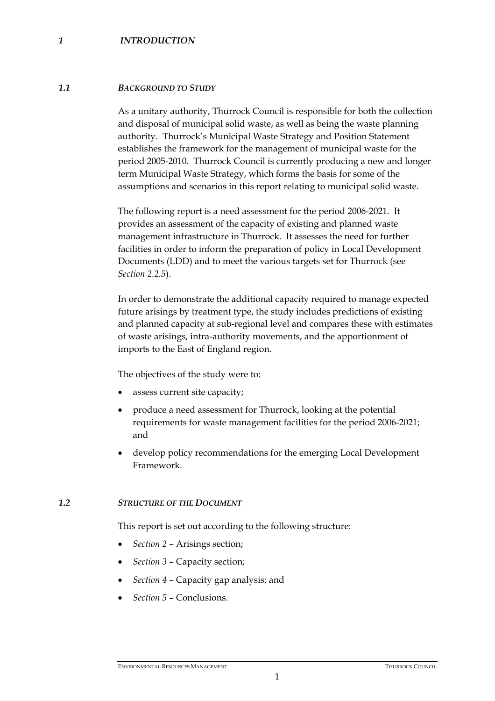#### *1 INTRODUCTION*

#### *1.1 BACKGROUND TO STUDY*

As a unitary authority, Thurrock Council is responsible for both the collection and disposal of municipal solid waste, as well as being the waste planning authority. Thurrock's Municipal Waste Strategy and Position Statement establishes the framework for the management of municipal waste for the period 2005-2010. Thurrock Council is currently producing a new and longer term Municipal Waste Strategy, which forms the basis for some of the assumptions and scenarios in this report relating to municipal solid waste.

The following report is a need assessment for the period 2006-2021. It provides an assessment of the capacity of existing and planned waste management infrastructure in Thurrock. It assesses the need for further facilities in order to inform the preparation of policy in Local Development Documents (LDD) and to meet the various targets set for Thurrock (see *Section 2.2.5*).

In order to demonstrate the additional capacity required to manage expected future arisings by treatment type, the study includes predictions of existing and planned capacity at sub-regional level and compares these with estimates of waste arisings, intra-authority movements, and the apportionment of imports to the East of England region.

The objectives of the study were to:

- assess current site capacity;
- produce a need assessment for Thurrock, looking at the potential requirements for waste management facilities for the period 2006-2021; and
- develop policy recommendations for the emerging Local Development Framework.

#### *1.2 STRUCTURE OF THE DOCUMENT*

This report is set out according to the following structure:

- *Section 2* Arisings section;
- *Section 3* Capacity section;
- *Section 4* Capacity gap analysis; and
- *Section 5* Conclusions.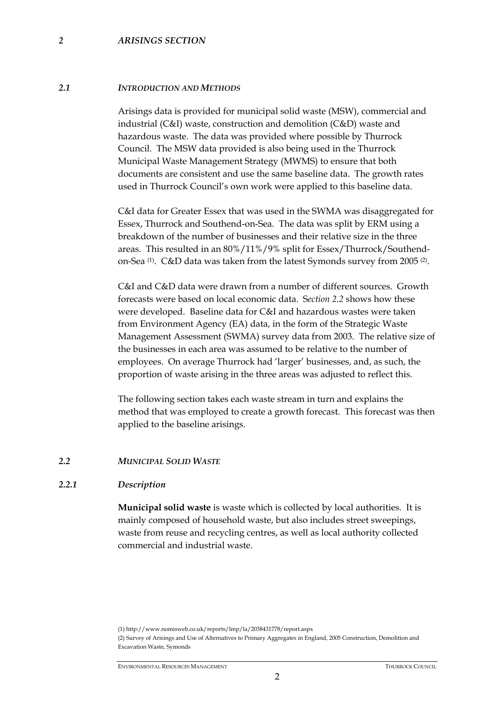#### *2 ARISINGS SECTION*

#### *2.1 INTRODUCTION AND METHODS*

Arisings data is provided for municipal solid waste (MSW), commercial and industrial (C&I) waste, construction and demolition (C&D) waste and hazardous waste. The data was provided where possible by Thurrock Council. The MSW data provided is also being used in the Thurrock Municipal Waste Management Strategy (MWMS) to ensure that both documents are consistent and use the same baseline data. The growth rates used in Thurrock Council's own work were applied to this baseline data.

C&I data for Greater Essex that was used in the SWMA was disaggregated for Essex, Thurrock and Southend-on-Sea. The data was split by ERM using a breakdown of the number of businesses and their relative size in the three areas. This resulted in an 80%/11%/9% split for Essex/Thurrock/Southendon-Sea (1). C&D data was taken from the latest Symonds survey from 2005 (2).

C&I and C&D data were drawn from a number of different sources. Growth forecasts were based on local economic data. S*ection 2.2* shows how these were developed. Baseline data for C&I and hazardous wastes were taken from Environment Agency (EA) data, in the form of the Strategic Waste Management Assessment (SWMA) survey data from 2003. The relative size of the businesses in each area was assumed to be relative to the number of employees. On average Thurrock had 'larger' businesses, and, as such, the proportion of waste arising in the three areas was adjusted to reflect this.

The following section takes each waste stream in turn and explains the method that was employed to create a growth forecast. This forecast was then applied to the baseline arisings.

#### *2.2 MUNICIPAL SOLID WASTE*

#### *2.2.1 Description*

**Municipal solid waste** is waste which is collected by local authorities. It is mainly composed of household waste, but also includes street sweepings, waste from reuse and recycling centres, as well as local authority collected commercial and industrial waste.

(1) http://www.nomisweb.co.uk/reports/lmp/la/2038431778/report.aspx

<sup>(2)</sup> Survey of Arisings and Use of Alternatives to Primary Aggregates in England, 2005 Construction, Demolition and Excavation Waste, Symonds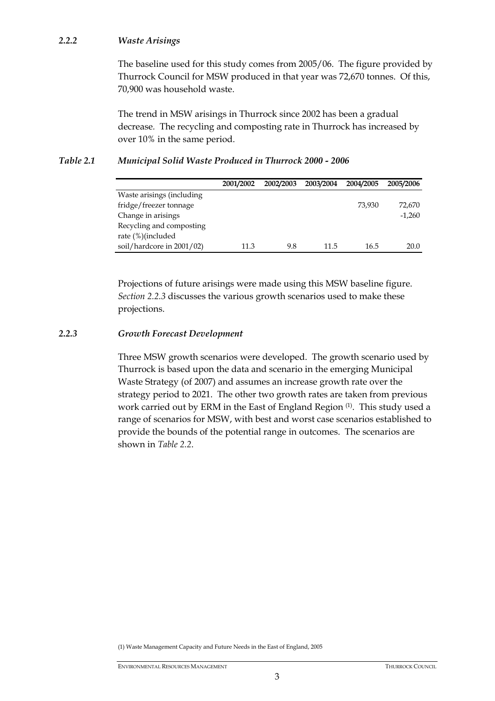# *2.2.2 Waste Arisings*

The baseline used for this study comes from 2005/06. The figure provided by Thurrock Council for MSW produced in that year was 72,670 tonnes. Of this, 70,900 was household waste.

The trend in MSW arisings in Thurrock since 2002 has been a gradual decrease*.* The recycling and composting rate in Thurrock has increased by over 10% in the same period.

# *Table 2.1 Municipal Solid Waste Produced in Thurrock 2000 - 2006*

|                           | 2001/2002 | 2002/2003 | 2003/2004 | 2004/2005 | 2005/2006 |
|---------------------------|-----------|-----------|-----------|-----------|-----------|
| Waste arisings (including |           |           |           |           |           |
| fridge/freezer tonnage    |           |           |           | 73.930    | 72,670    |
| Change in arisings        |           |           |           |           | $-1,260$  |
| Recycling and composting  |           |           |           |           |           |
| rate (%)(included         |           |           |           |           |           |
| soil/hardcore in 2001/02) | 11.3      | 9.8       | 11.5      | 16.5      | 20.0      |

Projections of future arisings were made using this MSW baseline figure. *Section 2.2.3* discusses the various growth scenarios used to make these projections.

# *2.2.3 Growth Forecast Development*

Three MSW growth scenarios were developed. The growth scenario used by Thurrock is based upon the data and scenario in the emerging Municipal Waste Strategy (of 2007) and assumes an increase growth rate over the strategy period to 2021. The other two growth rates are taken from previous work carried out by ERM in the East of England Region<sup>(1)</sup>. This study used a range of scenarios for MSW, with best and worst case scenarios established to provide the bounds of the potential range in outcomes. The scenarios are shown in *Table 2.2*.

(1) Waste Management Capacity and Future Needs in the East of England, 2005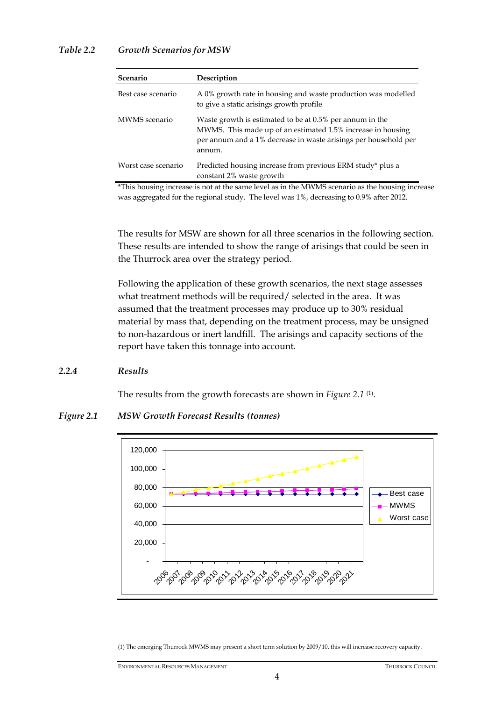| Scenario            | Description                                                                                                                                                                                          |
|---------------------|------------------------------------------------------------------------------------------------------------------------------------------------------------------------------------------------------|
| Best case scenario  | A 0% growth rate in housing and waste production was modelled<br>to give a static arisings growth profile                                                                                            |
| MWMS scenario       | Waste growth is estimated to be at 0.5% per annum in the<br>MWMS. This made up of an estimated 1.5% increase in housing<br>per annum and a 1% decrease in waste arisings per household per<br>annum. |
| Worst case scenario | Predicted housing increase from previous ERM study* plus a<br>constant 2% waste growth                                                                                                               |

\*This housing increase is not at the same level as in the MWMS scenario as the housing increase was aggregated for the regional study. The level was 1%, decreasing to 0.9% after 2012.

The results for MSW are shown for all three scenarios in the following section. These results are intended to show the range of arisings that could be seen in the Thurrock area over the strategy period.

Following the application of these growth scenarios, the next stage assesses what treatment methods will be required/ selected in the area. It was assumed that the treatment processes may produce up to 30% residual material by mass that, depending on the treatment process, may be unsigned to non-hazardous or inert landfill. The arisings and capacity sections of the report have taken this tonnage into account.

#### *2.2.4 Results*

The results from the growth forecasts are shown in *Figure 2.1* (1).

*Figure 2.1 MSW Growth Forecast Results (tonnes)* 



(1) The emerging Thurrock MWMS may present a short term solution by 2009/10, this will increase recovery capacity.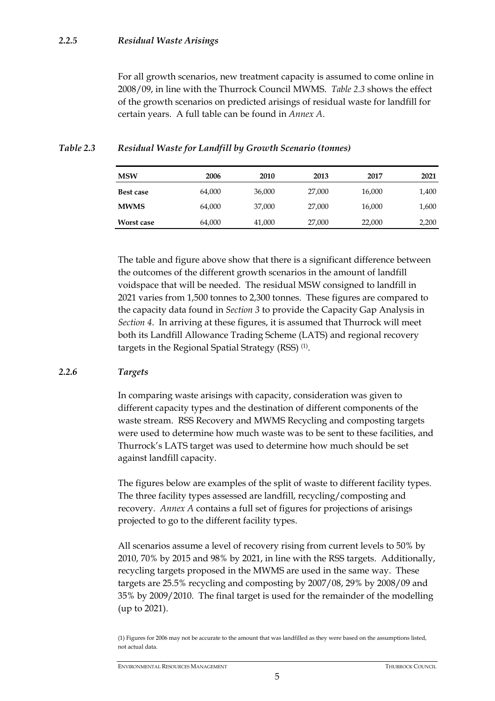For all growth scenarios, new treatment capacity is assumed to come online in 2008/09, in line with the Thurrock Council MWMS. *Table 2.3* shows the effect of the growth scenarios on predicted arisings of residual waste for landfill for certain years. A full table can be found in *Annex A*.

| <b>MSW</b>        | 2006   | 2010   | 2013   | 2017   | 2021  |
|-------------------|--------|--------|--------|--------|-------|
| Best case         | 64,000 | 36,000 | 27,000 | 16,000 | 1,400 |
| <b>MWMS</b>       | 64,000 | 37,000 | 27,000 | 16,000 | 1,600 |
| <b>Worst case</b> | 64,000 | 41,000 | 27,000 | 22,000 | 2,200 |

# *Table 2.3 Residual Waste for Landfill by Growth Scenario (tonnes)*

The table and figure above show that there is a significant difference between the outcomes of the different growth scenarios in the amount of landfill voidspace that will be needed. The residual MSW consigned to landfill in 2021 varies from 1,500 tonnes to 2,300 tonnes. These figures are compared to the capacity data found in *Section 3* to provide the Capacity Gap Analysis in *Section 4*. In arriving at these figures, it is assumed that Thurrock will meet both its Landfill Allowance Trading Scheme (LATS) and regional recovery targets in the Regional Spatial Strategy (RSS) (1).

# *2.2.6 Targets*

In comparing waste arisings with capacity, consideration was given to different capacity types and the destination of different components of the waste stream. RSS Recovery and MWMS Recycling and composting targets were used to determine how much waste was to be sent to these facilities, and Thurrock's LATS target was used to determine how much should be set against landfill capacity.

The figures below are examples of the split of waste to different facility types. The three facility types assessed are landfill, recycling/composting and recovery. *Annex A* contains a full set of figures for projections of arisings projected to go to the different facility types.

All scenarios assume a level of recovery rising from current levels to 50% by 2010, 70% by 2015 and 98% by 2021, in line with the RSS targets. Additionally, recycling targets proposed in the MWMS are used in the same way. These targets are 25.5% recycling and composting by 2007/08, 29% by 2008/09 and 35% by 2009/2010. The final target is used for the remainder of the modelling (up to 2021).

<sup>(1)</sup> Figures for 2006 may not be accurate to the amount that was landfilled as they were based on the assumptions listed, not actual data.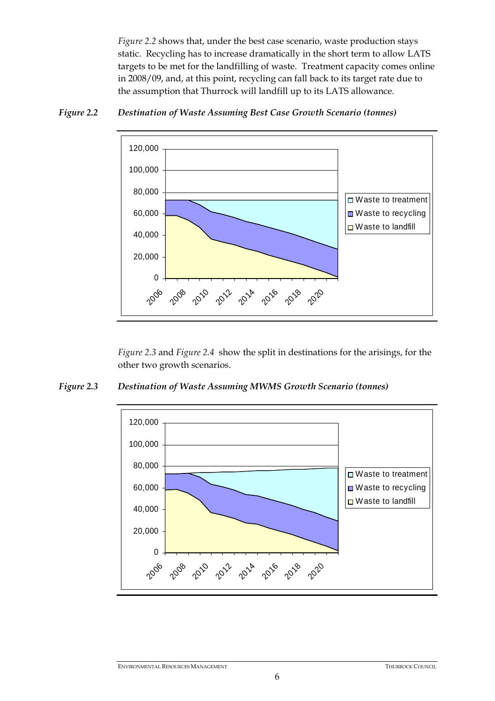*Figure 2.2* shows that, under the best case scenario, waste production stays static. Recycling has to increase dramatically in the short term to allow LATS targets to be met for the landfilling of waste. Treatment capacity comes online in 2008/09, and, at this point, recycling can fall back to its target rate due to the assumption that Thurrock will landfill up to its LATS allowance.



## *Figure 2.2 Destination of Waste Assuming Best Case Growth Scenario (tonnes)*

*Figure 2.3* and *Figure 2.4* show the split in destinations for the arisings, for the other two growth scenarios.

*Figure 2.3 Destination of Waste Assuming MWMS Growth Scenario (tonnes)* 

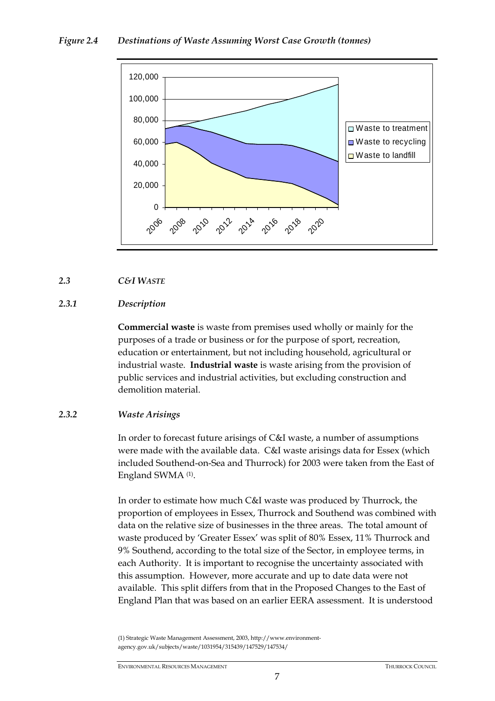# *Figure 2.4 Destinations of Waste Assuming Worst Case Growth (tonnes)*



## *2.3 C&I WASTE*

# *2.3.1 Description*

**Commercial waste** is waste from premises used wholly or mainly for the purposes of a trade or business or for the purpose of sport, recreation, education or entertainment, but not including household, agricultural or industrial waste. **Industrial waste** is waste arising from the provision of public services and industrial activities, but excluding construction and demolition material.

## *2.3.2 Waste Arisings*

In order to forecast future arisings of C&I waste, a number of assumptions were made with the available data. C&I waste arisings data for Essex (which included Southend-on-Sea and Thurrock) for 2003 were taken from the East of England SWMA (1).

In order to estimate how much C&I waste was produced by Thurrock, the proportion of employees in Essex, Thurrock and Southend was combined with data on the relative size of businesses in the three areas. The total amount of waste produced by 'Greater Essex' was split of 80% Essex, 11% Thurrock and 9% Southend, according to the total size of the Sector, in employee terms, in each Authority. It is important to recognise the uncertainty associated with this assumption. However, more accurate and up to date data were not available. This split differs from that in the Proposed Changes to the East of England Plan that was based on an earlier EERA assessment. It is understood

(1) Strategic Waste Management Assessment, 2003, http://www.environmentagency.gov.uk/subjects/waste/1031954/315439/147529/147534/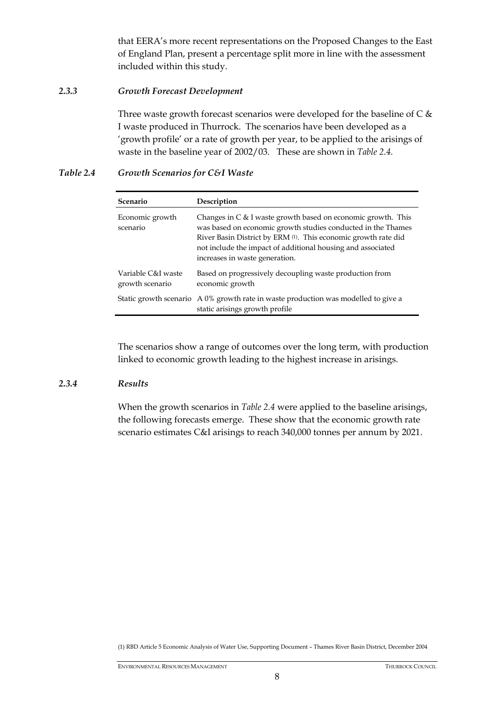that EERA's more recent representations on the Proposed Changes to the East of England Plan, present a percentage split more in line with the assessment included within this study.

# *2.3.3 Growth Forecast Development*

Three waste growth forecast scenarios were developed for the baseline of  $C \&$ I waste produced in Thurrock. The scenarios have been developed as a 'growth profile' or a rate of growth per year, to be applied to the arisings of waste in the baseline year of 2002/03. These are shown in *Table 2.4.*

# *Table 2.4 Growth Scenarios for C&I Waste*

| Scenario                              | Description                                                                                                                                                                                                                                                                                     |
|---------------------------------------|-------------------------------------------------------------------------------------------------------------------------------------------------------------------------------------------------------------------------------------------------------------------------------------------------|
| Economic growth<br>scenario           | Changes in C & I waste growth based on economic growth. This<br>was based on economic growth studies conducted in the Thames<br>River Basin District by ERM (1). This economic growth rate did<br>not include the impact of additional housing and associated<br>increases in waste generation. |
| Variable C&I waste<br>growth scenario | Based on progressively decoupling waste production from<br>economic growth                                                                                                                                                                                                                      |
|                                       | Static growth scenario $A\,0\%$ growth rate in waste production was modelled to give a<br>static arisings growth profile                                                                                                                                                                        |

The scenarios show a range of outcomes over the long term, with production linked to economic growth leading to the highest increase in arisings.

## *2.3.4 Results*

When the growth scenarios in *Table 2.4* were applied to the baseline arisings, the following forecasts emerge. These show that the economic growth rate scenario estimates C&I arisings to reach 340,000 tonnes per annum by 2021.

(1) RBD Article 5 Economic Analysis of Water Use, Supporting Document – Thames River Basin District, December 2004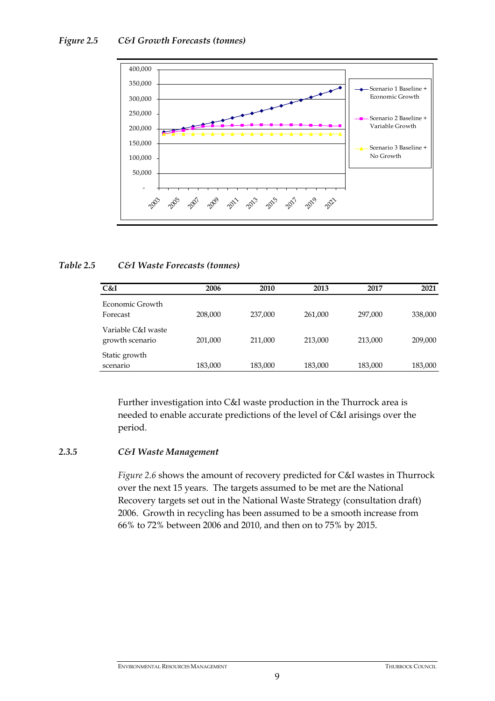

## *Table 2.5 C&I Waste Forecasts (tonnes)*

| C&I                                   | 2006    | 2010    | 2013    | 2017    | 2021    |
|---------------------------------------|---------|---------|---------|---------|---------|
| Economic Growth<br>Forecast           | 208,000 | 237,000 | 261,000 | 297,000 | 338,000 |
| Variable C&I waste<br>growth scenario | 201,000 | 211,000 | 213,000 | 213,000 | 209,000 |
| Static growth<br>scenario             | 183,000 | 183,000 | 183,000 | 183,000 | 183,000 |

Further investigation into C&I waste production in the Thurrock area is needed to enable accurate predictions of the level of C&I arisings over the period.

# *2.3.5 C&I Waste Management*

*Figure 2.6* shows the amount of recovery predicted for C&I wastes in Thurrock over the next 15 years. The targets assumed to be met are the National Recovery targets set out in the National Waste Strategy (consultation draft) 2006. Growth in recycling has been assumed to be a smooth increase from 66% to 72% between 2006 and 2010, and then on to 75% by 2015.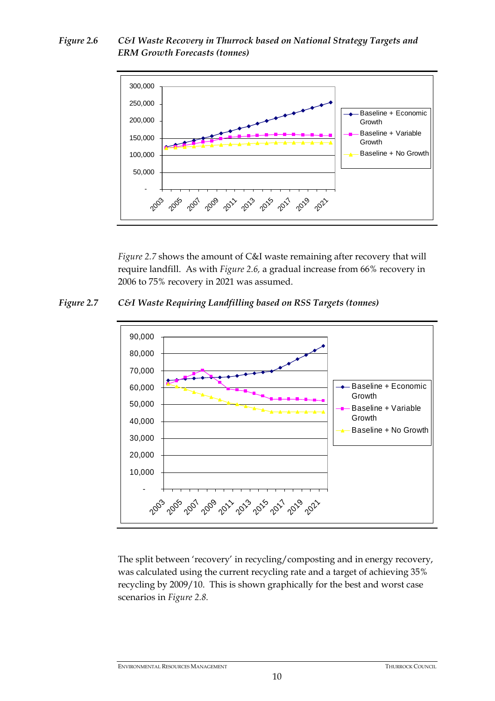*Figure 2.6 C&I Waste Recovery in Thurrock based on National Strategy Targets and ERM Growth Forecasts (tonnes)* 



*Figure 2.7* shows the amount of C&I waste remaining after recovery that will require landfill. As with *Figure 2.6,* a gradual increase from 66% recovery in 2006 to 75% recovery in 2021 was assumed.

*Figure 2.7 C&I Waste Requiring Landfilling based on RSS Targets (tonnes)* 



The split between 'recovery' in recycling/composting and in energy recovery, was calculated using the current recycling rate and a target of achieving 35% recycling by 2009/10. This is shown graphically for the best and worst case scenarios in *Figure 2.8.*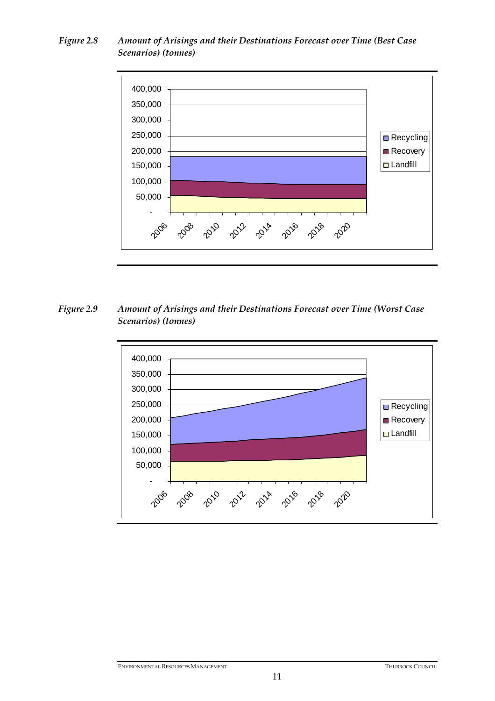# *Figure 2.8 Amount of Arisings and their Destinations Forecast over Time (Best Case Scenarios) (tonnes)*



*Figure 2.9 Amount of Arisings and their Destinations Forecast over Time (Worst Case Scenarios) (tonnes)* 

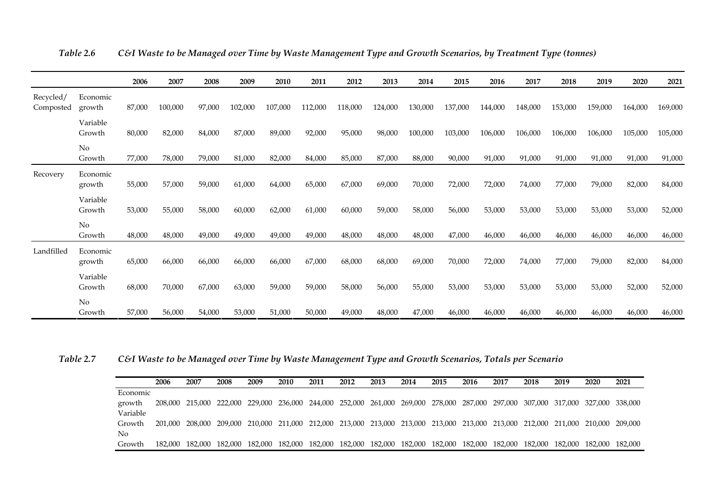|                        |                    | 2006   | 2007    | 2008   | 2009    | 2010    | 2011    | 2012    | 2013    | 2014    | 2015    | 2016    | 2017    | 2018    | 2019    | 2020    | 2021    |
|------------------------|--------------------|--------|---------|--------|---------|---------|---------|---------|---------|---------|---------|---------|---------|---------|---------|---------|---------|
| Recycled/<br>Composted | Economic<br>growth | 87,000 | 100,000 | 97,000 | 102,000 | 107,000 | 112,000 | 118,000 | 124,000 | 130,000 | 137,000 | 144,000 | 148,000 | 153,000 | 159,000 | 164,000 | 169,000 |
|                        | Variable<br>Growth | 80,000 | 82,000  | 84,000 | 87,000  | 89,000  | 92,000  | 95,000  | 98,000  | 100,000 | 103,000 | 106,000 | 106,000 | 106,000 | 106,000 | 105,000 | 105,000 |
|                        | No<br>Growth       | 77,000 | 78,000  | 79,000 | 81,000  | 82,000  | 84,000  | 85,000  | 87,000  | 88,000  | 90,000  | 91,000  | 91,000  | 91,000  | 91,000  | 91,000  | 91,000  |
| Recovery               | Economic<br>growth | 55,000 | 57,000  | 59,000 | 61,000  | 64,000  | 65,000  | 67,000  | 69,000  | 70,000  | 72,000  | 72,000  | 74,000  | 77,000  | 79,000  | 82,000  | 84,000  |
|                        | Variable<br>Growth | 53,000 | 55,000  | 58,000 | 60,000  | 62,000  | 61,000  | 60,000  | 59,000  | 58,000  | 56,000  | 53,000  | 53,000  | 53,000  | 53,000  | 53,000  | 52,000  |
|                        | No<br>Growth       | 48,000 | 48,000  | 49,000 | 49,000  | 49,000  | 49,000  | 48,000  | 48,000  | 48,000  | 47,000  | 46,000  | 46,000  | 46,000  | 46,000  | 46,000  | 46,000  |
| Landfilled             | Economic<br>growth | 65,000 | 66,000  | 66,000 | 66,000  | 66,000  | 67,000  | 68,000  | 68,000  | 69,000  | 70,000  | 72,000  | 74,000  | 77,000  | 79,000  | 82,000  | 84,000  |
|                        | Variable<br>Growth | 68,000 | 70,000  | 67,000 | 63,000  | 59,000  | 59,000  | 58,000  | 56,000  | 55,000  | 53,000  | 53,000  | 53,000  | 53,000  | 53,000  | 52,000  | 52,000  |
|                        | No<br>Growth       | 57,000 | 56,000  | 54,000 | 53,000  | 51,000  | 50,000  | 49,000  | 48,000  | 47,000  | 46,000  | 46,000  | 46,000  | 46,000  | 46,000  | 46,000  | 46,000  |

*Table 2.6 C&I Waste to be Managed over Time by Waste Management Type and Growth Scenarios, by Treatment Type (tonnes)* 

*Table 2.7 C&I Waste to be Managed over Time by Waste Management Type and Growth Scenarios, Totals per Scenario* 

|                | <b>2006</b> | 2007                                                                                                                            | 2008 | 2009 | 2010 | 2011 | 2012 | 2013 | 2014 | 2015 | 2016 | 2017 | 2018 | 2019 | 2020                                                                                                    | 2021 |
|----------------|-------------|---------------------------------------------------------------------------------------------------------------------------------|------|------|------|------|------|------|------|------|------|------|------|------|---------------------------------------------------------------------------------------------------------|------|
| Economic       |             |                                                                                                                                 |      |      |      |      |      |      |      |      |      |      |      |      |                                                                                                         |      |
| growth         |             | 208,000 215,000 222,000 229,000 236,000 244,000 252,000 261,000 269,000 278,000 287,000 297,000 307,000 317,000 327,000 338,000 |      |      |      |      |      |      |      |      |      |      |      |      |                                                                                                         |      |
| Variable       |             |                                                                                                                                 |      |      |      |      |      |      |      |      |      |      |      |      |                                                                                                         |      |
| Growth         |             | 201,000 208,000 209,000 210,000 211,000 212,000 213,000 213,000 213,000 213,000 213,000 213,000 212,000 211,000 210,000 209,000 |      |      |      |      |      |      |      |      |      |      |      |      |                                                                                                         |      |
| N <sub>o</sub> |             |                                                                                                                                 |      |      |      |      |      |      |      |      |      |      |      |      |                                                                                                         |      |
| Growth         |             | 182,000 182,000 182,000                                                                                                         |      |      |      |      |      |      |      |      |      |      |      |      | 182,000 182,000 182,000 182,000 182,000 182,000 182,000 182,000 182,000 182,000 182,000 182,000 182,000 |      |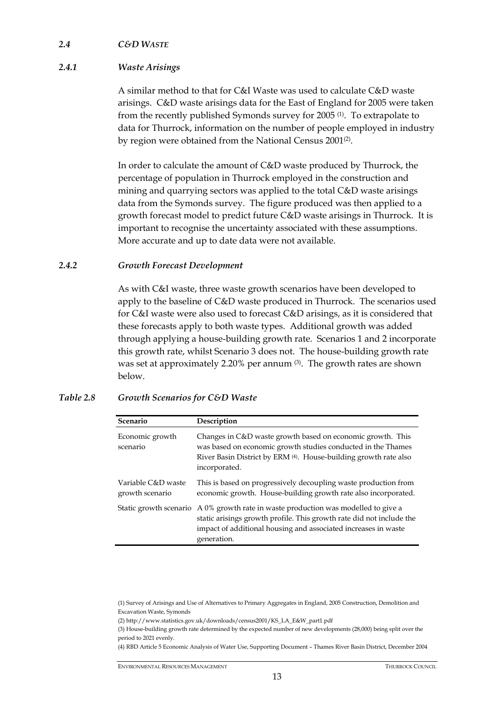## *2.4 C&D WASTE*

# *2.4.1 Waste Arisings*

A similar method to that for C&I Waste was used to calculate C&D waste arisings. C&D waste arisings data for the East of England for 2005 were taken from the recently published Symonds survey for 2005 (1). To extrapolate to data for Thurrock, information on the number of people employed in industry by region were obtained from the National Census 2001<sup>(2)</sup>.

In order to calculate the amount of C&D waste produced by Thurrock, the percentage of population in Thurrock employed in the construction and mining and quarrying sectors was applied to the total C&D waste arisings data from the Symonds survey. The figure produced was then applied to a growth forecast model to predict future C&D waste arisings in Thurrock. It is important to recognise the uncertainty associated with these assumptions. More accurate and up to date data were not available.

## *2.4.2 Growth Forecast Development*

As with C&I waste, three waste growth scenarios have been developed to apply to the baseline of C&D waste produced in Thurrock. The scenarios used for C&I waste were also used to forecast C&D arisings, as it is considered that these forecasts apply to both waste types. Additional growth was added through applying a house-building growth rate. Scenarios 1 and 2 incorporate this growth rate, whilst Scenario 3 does not. The house-building growth rate was set at approximately 2.20% per annum (3). The growth rates are shown below.

# *Table 2.8 Growth Scenarios for C&D Waste*

| <b>Scenario</b>                       | Description                                                                                                                                                                                                                                 |
|---------------------------------------|---------------------------------------------------------------------------------------------------------------------------------------------------------------------------------------------------------------------------------------------|
| Economic growth<br>scenario           | Changes in C&D waste growth based on economic growth. This<br>was based on economic growth studies conducted in the Thames<br>River Basin District by ERM (4). House-building growth rate also<br>incorporated.                             |
| Variable C&D waste<br>growth scenario | This is based on progressively decoupling waste production from<br>economic growth. House-building growth rate also incorporated.                                                                                                           |
|                                       | Static growth scenario A 0% growth rate in waste production was modelled to give a<br>static arisings growth profile. This growth rate did not include the<br>impact of additional housing and associated increases in waste<br>generation. |

(4) RBD Article 5 Economic Analysis of Water Use, Supporting Document – Thames River Basin District, December 2004

<sup>(1)</sup> Survey of Arisings and Use of Alternatives to Primary Aggregates in England, 2005 Construction, Demolition and Excavation Waste, Symonds

<sup>(2)</sup> http://www.statistics.gov.uk/downloads/census2001/KS\_LA\_E&W\_part1.pdf

<sup>(3)</sup> House-building growth rate determined by the expected number of new developments (28,000) being split over the period to 2021 evenly.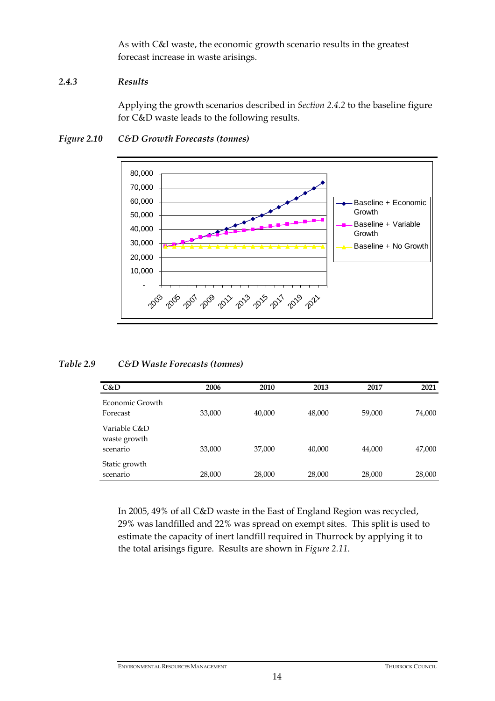As with C&I waste, the economic growth scenario results in the greatest forecast increase in waste arisings.

# *2.4.3 Results*

Applying the growth scenarios described in *Section 2.4.2* to the baseline figure for C&D waste leads to the following results.



# *Figure 2.10 C&D Growth Forecasts (tonnes)*

# *Table 2.9 C&D Waste Forecasts (tonnes)*

| C&D                                      | 2006   | 2010   | 2013   | 2017   | 2021   |
|------------------------------------------|--------|--------|--------|--------|--------|
| Economic Growth<br>Forecast              | 33,000 | 40,000 | 48,000 | 59,000 | 74,000 |
| Variable C&D<br>waste growth<br>scenario | 33,000 | 37,000 | 40,000 | 44,000 | 47,000 |
| Static growth<br>scenario                | 28,000 | 28,000 | 28,000 | 28,000 | 28,000 |

In 2005, 49% of all C&D waste in the East of England Region was recycled, 29% was landfilled and 22% was spread on exempt sites. This split is used to estimate the capacity of inert landfill required in Thurrock by applying it to the total arisings figure. Results are shown in *Figure 2.11*.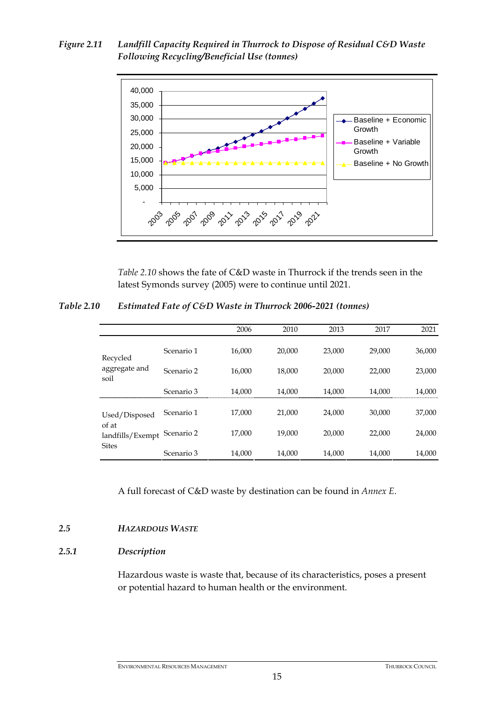*Figure 2.11 Landfill Capacity Required in Thurrock to Dispose of Residual C&D Waste Following Recycling/Beneficial Use (tonnes)* 



*Table 2.10* shows the fate of C&D waste in Thurrock if the trends seen in the latest Symonds survey (2005) were to continue until 2021.

*Table 2.10 Estimated Fate of C&D Waste in Thurrock 2006-2021 (tonnes)* 

|                                           |            | 2006   | 2010   | 2013   | 2017   | 2021   |
|-------------------------------------------|------------|--------|--------|--------|--------|--------|
| Recycled                                  | Scenario 1 | 16.000 | 20,000 | 23,000 | 29,000 | 36,000 |
| aggregate and<br>soil                     | Scenario 2 | 16,000 | 18,000 | 20,000 | 22,000 | 23,000 |
|                                           | Scenario 3 | 14,000 | 14,000 | 14.000 | 14.000 | 14,000 |
| Used/Disposed                             | Scenario 1 | 17.000 | 21,000 | 24,000 | 30,000 | 37,000 |
| of at<br>landfills/Exempt<br><b>Sites</b> | Scenario 2 | 17.000 | 19,000 | 20,000 | 22,000 | 24,000 |
|                                           | Scenario 3 | 14,000 | 14,000 | 14,000 | 14,000 | 14,000 |

A full forecast of C&D waste by destination can be found in *Annex E*.

## *2.5 HAZARDOUS WASTE*

## *2.5.1 Description*

Hazardous waste is waste that, because of its characteristics, poses a present or potential hazard to human health or the environment.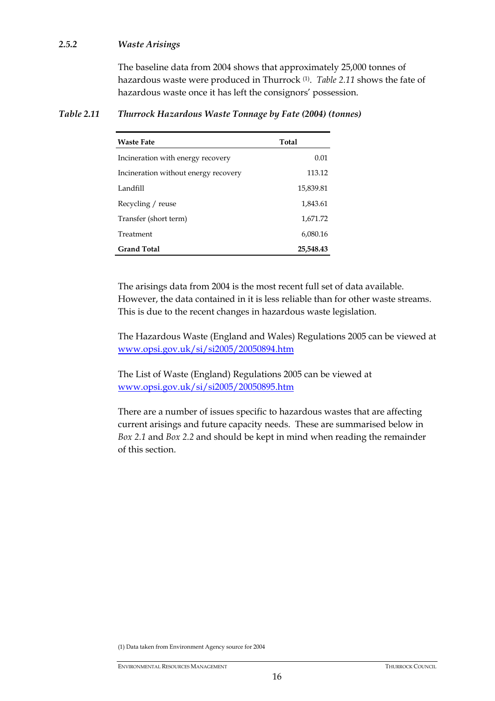# *2.5.2 Waste Arisings*

The baseline data from 2004 shows that approximately 25,000 tonnes of hazardous waste were produced in Thurrock (1). *Table 2.11* shows the fate of hazardous waste once it has left the consignors' possession.

| <b>Waste Fate</b>                    | <b>Total</b> |
|--------------------------------------|--------------|
| Incineration with energy recovery    | 0.01         |
| Incineration without energy recovery | 113.12       |
| Landfill                             | 15,839.81    |
| Recycling / reuse                    | 1,843.61     |
| Transfer (short term)                | 1,671.72     |
| Treatment                            | 6,080.16     |
| <b>Grand Total</b>                   | 25,548.43    |

# *Table 2.11 Thurrock Hazardous Waste Tonnage by Fate (2004) (tonnes)*

The arisings data from 2004 is the most recent full set of data available. However, the data contained in it is less reliable than for other waste streams. This is due to the recent changes in hazardous waste legislation.

The Hazardous Waste (England and Wales) Regulations 2005 can be viewed at www.opsi.gov.uk/si/si2005/20050894.htm

The List of Waste (England) Regulations 2005 can be viewed at www.opsi.gov.uk/si/si2005/20050895.htm

There are a number of issues specific to hazardous wastes that are affecting current arisings and future capacity needs. These are summarised below in *Box 2.1* and *Box 2.2* and should be kept in mind when reading the remainder of this section.

(1) Data taken from Environment Agency source for 2004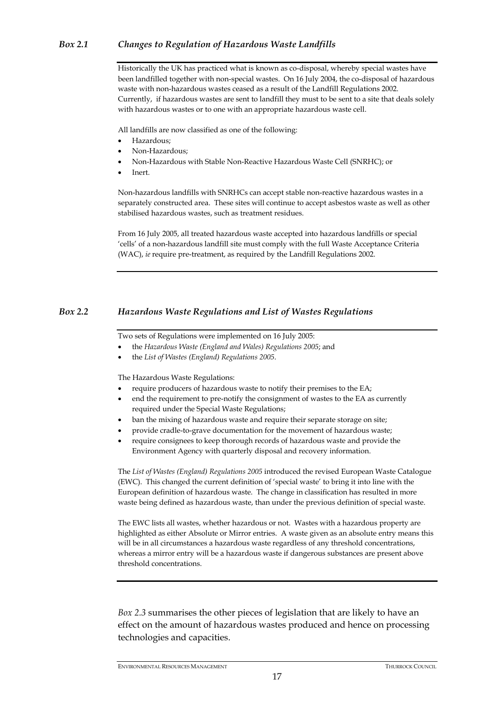# *Box 2.1 Changes to Regulation of Hazardous Waste Landfills*

Historically the UK has practiced what is known as co-disposal, whereby special wastes have been landfilled together with non-special wastes. On 16 July 2004, the co-disposal of hazardous waste with non-hazardous wastes ceased as a result of the Landfill Regulations 2002. Currently, if hazardous wastes are sent to landfill they must to be sent to a site that deals solely with hazardous wastes or to one with an appropriate hazardous waste cell.

All landfills are now classified as one of the following:

- Hazardous;
- Non-Hazardous;
- Non-Hazardous with Stable Non-Reactive Hazardous Waste Cell (SNRHC); or
- Inert.

Non-hazardous landfills with SNRHCs can accept stable non-reactive hazardous wastes in a separately constructed area. These sites will continue to accept asbestos waste as well as other stabilised hazardous wastes, such as treatment residues.

From 16 July 2005, all treated hazardous waste accepted into hazardous landfills or special 'cells' of a non-hazardous landfill site must comply with the full Waste Acceptance Criteria (WAC), *ie* require pre-treatment, as required by the Landfill Regulations 2002.

# *Box 2.2 Hazardous Waste Regulations and List of Wastes Regulations*

Two sets of Regulations were implemented on 16 July 2005:

- the *Hazardous Waste (England and Wales) Regulations 2005*; and
- the *List of Wastes (England) Regulations 2005*.

The Hazardous Waste Regulations:

- require producers of hazardous waste to notify their premises to the EA;
- end the requirement to pre-notify the consignment of wastes to the EA as currently required under the Special Waste Regulations;
- ban the mixing of hazardous waste and require their separate storage on site;
- provide cradle-to-grave documentation for the movement of hazardous waste;
- require consignees to keep thorough records of hazardous waste and provide the Environment Agency with quarterly disposal and recovery information.

The *List of Wastes (England) Regulations 2005* introduced the revised European Waste Catalogue (EWC). This changed the current definition of 'special waste' to bring it into line with the European definition of hazardous waste. The change in classification has resulted in more waste being defined as hazardous waste, than under the previous definition of special waste.

The EWC lists all wastes, whether hazardous or not. Wastes with a hazardous property are highlighted as either Absolute or Mirror entries. A waste given as an absolute entry means this will be in all circumstances a hazardous waste regardless of any threshold concentrations, whereas a mirror entry will be a hazardous waste if dangerous substances are present above threshold concentrations.

*Box 2.3* summarises the other pieces of legislation that are likely to have an effect on the amount of hazardous wastes produced and hence on processing technologies and capacities.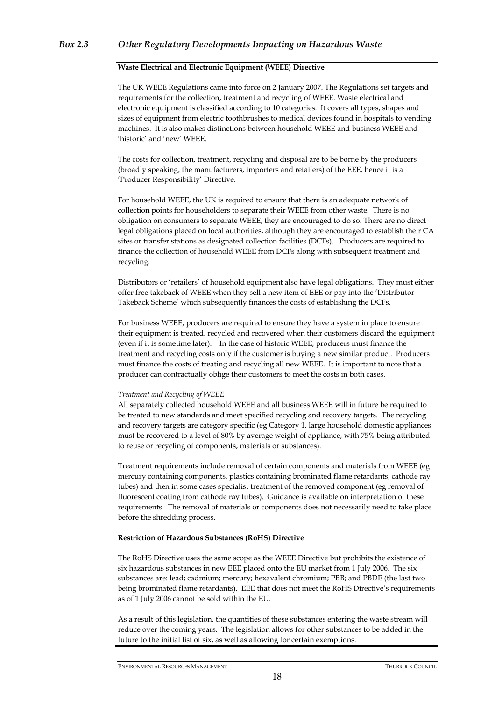#### **Waste Electrical and Electronic Equipment (WEEE) Directive**

The UK WEEE Regulations came into force on 2 January 2007. The Regulations set targets and requirements for the collection, treatment and recycling of WEEE. Waste electrical and electronic equipment is classified according to 10 categories. It covers all types, shapes and sizes of equipment from electric toothbrushes to medical devices found in hospitals to vending machines. It is also makes distinctions between household WEEE and business WEEE and 'historic' and 'new' WEEE.

The costs for collection, treatment, recycling and disposal are to be borne by the producers (broadly speaking, the manufacturers, importers and retailers) of the EEE, hence it is a 'Producer Responsibility' Directive.

For household WEEE, the UK is required to ensure that there is an adequate network of collection points for householders to separate their WEEE from other waste. There is no obligation on consumers to separate WEEE, they are encouraged to do so. There are no direct legal obligations placed on local authorities, although they are encouraged to establish their CA sites or transfer stations as designated collection facilities (DCFs). Producers are required to finance the collection of household WEEE from DCFs along with subsequent treatment and recycling.

Distributors or 'retailers' of household equipment also have legal obligations. They must either offer free takeback of WEEE when they sell a new item of EEE or pay into the 'Distributor Takeback Scheme' which subsequently finances the costs of establishing the DCFs.

For business WEEE, producers are required to ensure they have a system in place to ensure their equipment is treated, recycled and recovered when their customers discard the equipment (even if it is sometime later). In the case of historic WEEE, producers must finance the treatment and recycling costs only if the customer is buying a new similar product. Producers must finance the costs of treating and recycling all new WEEE. It is important to note that a producer can contractually oblige their customers to meet the costs in both cases.

#### *Treatment and Recycling of WEEE*

All separately collected household WEEE and all business WEEE will in future be required to be treated to new standards and meet specified recycling and recovery targets. The recycling and recovery targets are category specific (eg Category 1. large household domestic appliances must be recovered to a level of 80% by average weight of appliance, with 75% being attributed to reuse or recycling of components, materials or substances).

Treatment requirements include removal of certain components and materials from WEEE (eg mercury containing components, plastics containing brominated flame retardants, cathode ray tubes) and then in some cases specialist treatment of the removed component (eg removal of fluorescent coating from cathode ray tubes). Guidance is available on interpretation of these requirements. The removal of materials or components does not necessarily need to take place before the shredding process.

#### **Restriction of Hazardous Substances (RoHS) Directive**

The RoHS Directive uses the same scope as the WEEE Directive but prohibits the existence of six hazardous substances in new EEE placed onto the EU market from 1 July 2006. The six substances are: lead; cadmium; mercury; hexavalent chromium; PBB; and PBDE (the last two being brominated flame retardants). EEE that does not meet the RoHS Directive's requirements as of 1 July 2006 cannot be sold within the EU.

As a result of this legislation, the quantities of these substances entering the waste stream will reduce over the coming years. The legislation allows for other substances to be added in the future to the initial list of six, as well as allowing for certain exemptions.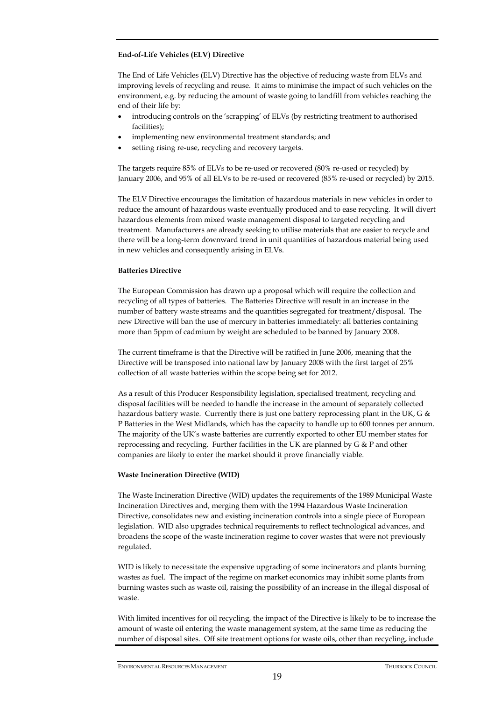#### **End-of-Life Vehicles (ELV) Directive**

The End of Life Vehicles (ELV) Directive has the objective of reducing waste from ELVs and improving levels of recycling and reuse. It aims to minimise the impact of such vehicles on the environment, e.g. by reducing the amount of waste going to landfill from vehicles reaching the end of their life by:

- introducing controls on the 'scrapping' of ELVs (by restricting treatment to authorised facilities);
- implementing new environmental treatment standards; and
- setting rising re-use, recycling and recovery targets.

The targets require 85% of ELVs to be re-used or recovered (80% re-used or recycled) by January 2006, and 95% of all ELVs to be re-used or recovered (85% re-used or recycled) by 2015.

The ELV Directive encourages the limitation of hazardous materials in new vehicles in order to reduce the amount of hazardous waste eventually produced and to ease recycling. It will divert hazardous elements from mixed waste management disposal to targeted recycling and treatment. Manufacturers are already seeking to utilise materials that are easier to recycle and there will be a long-term downward trend in unit quantities of hazardous material being used in new vehicles and consequently arising in ELVs.

#### **Batteries Directive**

The European Commission has drawn up a proposal which will require the collection and recycling of all types of batteries. The Batteries Directive will result in an increase in the number of battery waste streams and the quantities segregated for treatment/disposal. The new Directive will ban the use of mercury in batteries immediately: all batteries containing more than 5ppm of cadmium by weight are scheduled to be banned by January 2008.

The current timeframe is that the Directive will be ratified in June 2006, meaning that the Directive will be transposed into national law by January 2008 with the first target of 25% collection of all waste batteries within the scope being set for 2012.

As a result of this Producer Responsibility legislation, specialised treatment, recycling and disposal facilities will be needed to handle the increase in the amount of separately collected hazardous battery waste. Currently there is just one battery reprocessing plant in the UK, G & P Batteries in the West Midlands, which has the capacity to handle up to 600 tonnes per annum. The majority of the UK's waste batteries are currently exported to other EU member states for reprocessing and recycling. Further facilities in the UK are planned by G & P and other companies are likely to enter the market should it prove financially viable.

#### **Waste Incineration Directive (WID)**

The Waste Incineration Directive (WID) updates the requirements of the 1989 Municipal Waste Incineration Directives and, merging them with the 1994 Hazardous Waste Incineration Directive, consolidates new and existing incineration controls into a single piece of European legislation. WID also upgrades technical requirements to reflect technological advances, and broadens the scope of the waste incineration regime to cover wastes that were not previously regulated.

WID is likely to necessitate the expensive upgrading of some incinerators and plants burning wastes as fuel. The impact of the regime on market economics may inhibit some plants from burning wastes such as waste oil, raising the possibility of an increase in the illegal disposal of waste.

With limited incentives for oil recycling, the impact of the Directive is likely to be to increase the amount of waste oil entering the waste management system, at the same time as reducing the number of disposal sites. Off site treatment options for waste oils, other than recycling, include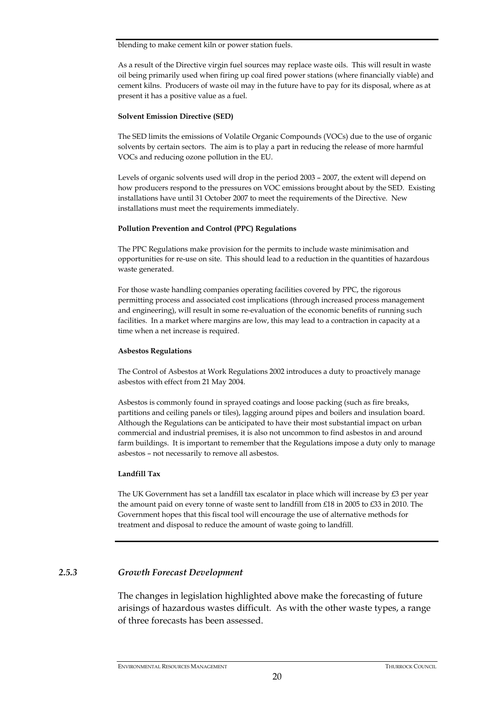blending to make cement kiln or power station fuels.

As a result of the Directive virgin fuel sources may replace waste oils. This will result in waste oil being primarily used when firing up coal fired power stations (where financially viable) and cement kilns. Producers of waste oil may in the future have to pay for its disposal, where as at present it has a positive value as a fuel.

#### **Solvent Emission Directive (SED)**

The SED limits the emissions of Volatile Organic Compounds (VOCs) due to the use of organic solvents by certain sectors. The aim is to play a part in reducing the release of more harmful VOCs and reducing ozone pollution in the EU.

Levels of organic solvents used will drop in the period 2003 – 2007, the extent will depend on how producers respond to the pressures on VOC emissions brought about by the SED. Existing installations have until 31 October 2007 to meet the requirements of the Directive. New installations must meet the requirements immediately.

#### **Pollution Prevention and Control (PPC) Regulations**

The PPC Regulations make provision for the permits to include waste minimisation and opportunities for re-use on site. This should lead to a reduction in the quantities of hazardous waste generated.

For those waste handling companies operating facilities covered by PPC, the rigorous permitting process and associated cost implications (through increased process management and engineering), will result in some re-evaluation of the economic benefits of running such facilities. In a market where margins are low, this may lead to a contraction in capacity at a time when a net increase is required.

#### **Asbestos Regulations**

The Control of Asbestos at Work Regulations 2002 introduces a duty to proactively manage asbestos with effect from 21 May 2004.

Asbestos is commonly found in sprayed coatings and loose packing (such as fire breaks, partitions and ceiling panels or tiles), lagging around pipes and boilers and insulation board. Although the Regulations can be anticipated to have their most substantial impact on urban commercial and industrial premises, it is also not uncommon to find asbestos in and around farm buildings. It is important to remember that the Regulations impose a duty only to manage asbestos – not necessarily to remove all asbestos.

#### **Landfill Tax**

The UK Government has set a landfill tax escalator in place which will increase by  $E_3$  per year the amount paid on every tonne of waste sent to landfill from £18 in 2005 to £33 in 2010. The Government hopes that this fiscal tool will encourage the use of alternative methods for treatment and disposal to reduce the amount of waste going to landfill.

## *2.5.3 Growth Forecast Development*

The changes in legislation highlighted above make the forecasting of future arisings of hazardous wastes difficult. As with the other waste types, a range of three forecasts has been assessed.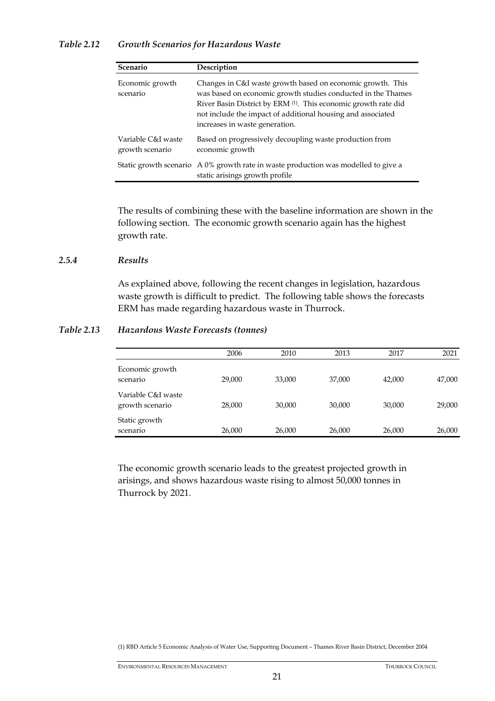# *Table 2.12 Growth Scenarios for Hazardous Waste*

| Scenario                              | Description                                                                                                                                                                                                                                                                                   |
|---------------------------------------|-----------------------------------------------------------------------------------------------------------------------------------------------------------------------------------------------------------------------------------------------------------------------------------------------|
| Economic growth<br>scenario           | Changes in C&I waste growth based on economic growth. This<br>was based on economic growth studies conducted in the Thames<br>River Basin District by ERM (1). This economic growth rate did<br>not include the impact of additional housing and associated<br>increases in waste generation. |
| Variable C&I waste<br>growth scenario | Based on progressively decoupling waste production from<br>economic growth                                                                                                                                                                                                                    |
|                                       | Static growth scenario A 0% growth rate in waste production was modelled to give a<br>static arisings growth profile                                                                                                                                                                          |

The results of combining these with the baseline information are shown in the following section. The economic growth scenario again has the highest growth rate.

# *2.5.4 Results*

As explained above, following the recent changes in legislation, hazardous waste growth is difficult to predict. The following table shows the forecasts ERM has made regarding hazardous waste in Thurrock.

# *Table 2.13 Hazardous Waste Forecasts (tonnes)*

|                                       | 2006   | 2010   | 2013   | 2017   | 2021   |
|---------------------------------------|--------|--------|--------|--------|--------|
| Economic growth<br>scenario           | 29,000 | 33,000 | 37,000 | 42,000 | 47,000 |
| Variable C&I waste<br>growth scenario | 28,000 | 30,000 | 30,000 | 30,000 | 29,000 |
| Static growth<br>scenario             | 26,000 | 26,000 | 26,000 | 26,000 | 26,000 |

The economic growth scenario leads to the greatest projected growth in arisings, and shows hazardous waste rising to almost 50,000 tonnes in Thurrock by 2021.

(1) RBD Article 5 Economic Analysis of Water Use, Supporting Document – Thames River Basin District, December 2004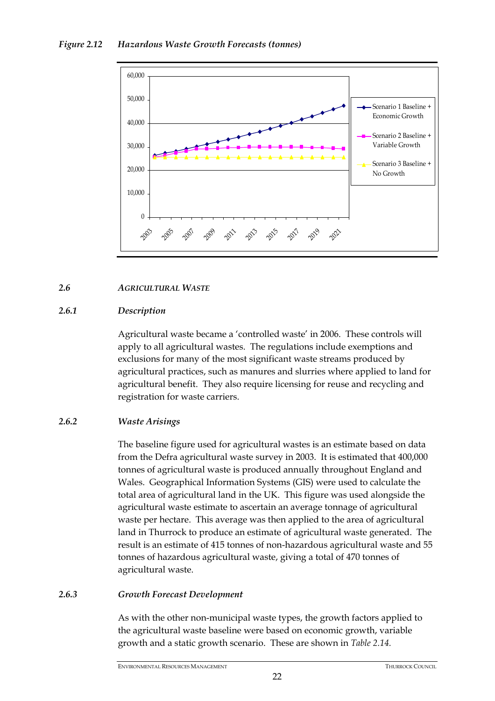

# *2.6 AGRICULTURAL WASTE*

# *2.6.1 Description*

Agricultural waste became a 'controlled waste' in 2006. These controls will apply to all agricultural wastes. The regulations include exemptions and exclusions for many of the most significant waste streams produced by agricultural practices, such as manures and slurries where applied to land for agricultural benefit. They also require licensing for reuse and recycling and registration for waste carriers.

# *2.6.2 Waste Arisings*

The baseline figure used for agricultural wastes is an estimate based on data from the Defra agricultural waste survey in 2003. It is estimated that 400,000 tonnes of agricultural waste is produced annually throughout England and Wales. Geographical Information Systems (GIS) were used to calculate the total area of agricultural land in the UK. This figure was used alongside the agricultural waste estimate to ascertain an average tonnage of agricultural waste per hectare. This average was then applied to the area of agricultural land in Thurrock to produce an estimate of agricultural waste generated. The result is an estimate of 415 tonnes of non-hazardous agricultural waste and 55 tonnes of hazardous agricultural waste, giving a total of 470 tonnes of agricultural waste.

# *2.6.3 Growth Forecast Development*

As with the other non-municipal waste types, the growth factors applied to the agricultural waste baseline were based on economic growth, variable growth and a static growth scenario. These are shown in *Table 2.14.*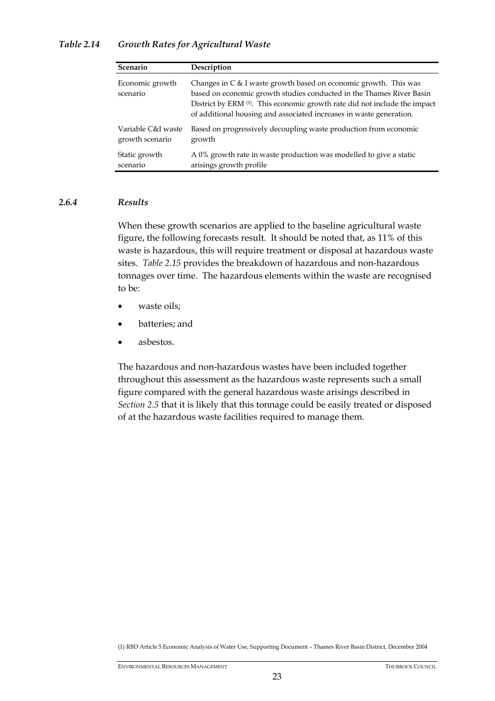# *Table 2.14 Growth Rates for Agricultural Waste*

| Scenario                    | Description                                                                                                                                                                                                                                                                                  |
|-----------------------------|----------------------------------------------------------------------------------------------------------------------------------------------------------------------------------------------------------------------------------------------------------------------------------------------|
| Economic growth<br>scenario | Changes in C & I waste growth based on economic growth. This was<br>based on economic growth studies conducted in the Thames River Basin<br>District by ERM (1). This economic growth rate did not include the impact<br>of additional housing and associated increases in waste generation. |
| Variable C&I waste          | Based on progressively decoupling waste production from economic                                                                                                                                                                                                                             |
| growth scenario             | growth                                                                                                                                                                                                                                                                                       |
| Static growth               | A 0% growth rate in waste production was modelled to give a static                                                                                                                                                                                                                           |
| scenario                    | arisings growth profile                                                                                                                                                                                                                                                                      |

## *2.6.4 Results*

When these growth scenarios are applied to the baseline agricultural waste figure, the following forecasts result. It should be noted that, as 11% of this waste is hazardous, this will require treatment or disposal at hazardous waste sites. *Table 2.15* provides the breakdown of hazardous and non-hazardous tonnages over time. The hazardous elements within the waste are recognised to be:

- waste oils:
- batteries; and
- asbestos.

The hazardous and non-hazardous wastes have been included together throughout this assessment as the hazardous waste represents such a small figure compared with the general hazardous waste arisings described in *Section 2.5* that it is likely that this tonnage could be easily treated or disposed of at the hazardous waste facilities required to manage them.

(1) RBD Article 5 Economic Analysis of Water Use, Supporting Document – Thames River Basin District, December 2004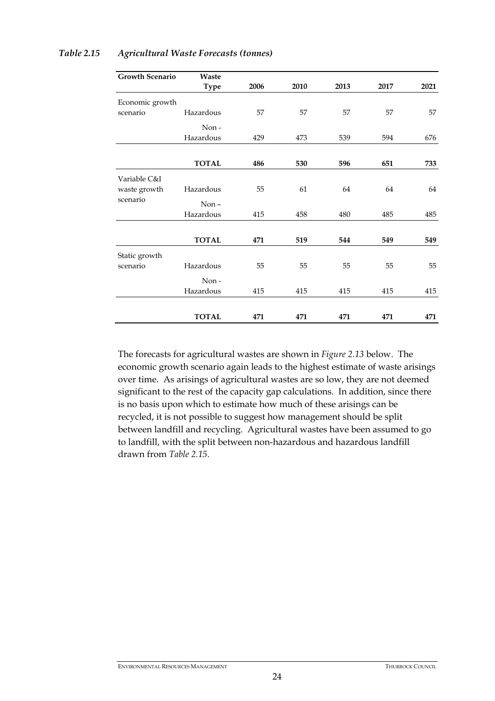| <b>Growth Scenario</b> | Waste        |      |      |      |      |      |
|------------------------|--------------|------|------|------|------|------|
|                        | <b>Type</b>  | 2006 | 2010 | 2013 | 2017 | 2021 |
| Economic growth        |              |      |      |      |      |      |
| scenario               | Hazardous    | 57   | 57   | 57   | 57   | 57   |
|                        | Non-         |      |      |      |      |      |
|                        | Hazardous    | 429  | 473  | 539  | 594  | 676  |
|                        |              |      |      |      |      |      |
|                        | <b>TOTAL</b> | 486  | 530  | 596  | 651  | 733  |
| Variable C&I           |              |      |      |      |      |      |
| waste growth           | Hazardous    | 55   | 61   | 64   | 64   | 64   |
| scenario               | $Non -$      |      |      |      |      |      |
|                        | Hazardous    | 415  | 458  | 480  | 485  | 485  |
|                        |              |      |      |      |      |      |
|                        | <b>TOTAL</b> | 471  | 519  | 544  | 549  | 549  |
| Static growth          |              |      |      |      |      |      |
| scenario               | Hazardous    | 55   | 55   | 55   | 55   | 55   |
|                        | Non-         |      |      |      |      |      |
|                        | Hazardous    | 415  | 415  | 415  | 415  | 415  |
|                        |              |      |      |      |      |      |
|                        | <b>TOTAL</b> | 471  | 471  | 471  | 471  | 471  |

## *Table 2.15 Agricultural Waste Forecasts (tonnes)*

The forecasts for agricultural wastes are shown in *Figure 2.13* below. The economic growth scenario again leads to the highest estimate of waste arisings over time. As arisings of agricultural wastes are so low, they are not deemed significant to the rest of the capacity gap calculations. In addition, since there is no basis upon which to estimate how much of these arisings can be recycled, it is not possible to suggest how management should be split between landfill and recycling. Agricultural wastes have been assumed to go to landfill, with the split between non-hazardous and hazardous landfill drawn from *Table 2.15.*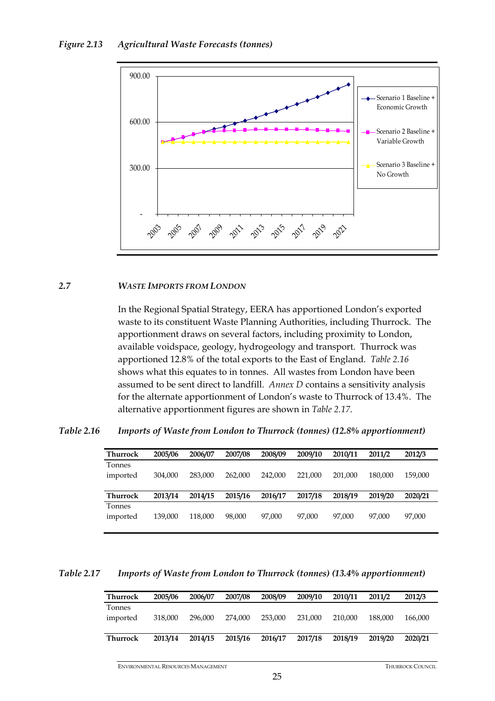

#### *2.7 WASTE IMPORTS FROM LONDON*

In the Regional Spatial Strategy, EERA has apportioned London's exported waste to its constituent Waste Planning Authorities, including Thurrock. The apportionment draws on several factors, including proximity to London, available voidspace, geology, hydrogeology and transport. Thurrock was apportioned 12.8% of the total exports to the East of England. *Table 2.16* shows what this equates to in tonnes. All wastes from London have been assumed to be sent direct to landfill. *Annex D* contains a sensitivity analysis for the alternate apportionment of London's waste to Thurrock of 13.4%. The alternative apportionment figures are shown in *Table 2.17*.

*Table 2.16 Imports of Waste from London to Thurrock (tonnes) (12.8% apportionment)* 

| Thurrock | 2005/06 | 2006/07 | 2007/08 | 2008/09 | 2009/10 | 2010/11 | 2011/2  | 2012/3  |
|----------|---------|---------|---------|---------|---------|---------|---------|---------|
| Tonnes   |         |         |         |         |         |         |         |         |
| imported | 304,000 | 283,000 | 262,000 | 242,000 | 221,000 | 201.000 | 180.000 | 159,000 |
|          |         |         |         |         |         |         |         |         |
| Thurrock | 2013/14 | 2014/15 | 2015/16 | 2016/17 | 2017/18 | 2018/19 | 2019/20 | 2020/21 |
| Tonnes   |         |         |         |         |         |         |         |         |
| imported | 139,000 | 118,000 | 98,000  | 97.000  | 97.000  | 97.000  | 97.000  | 97,000  |
|          |         |         |         |         |         |         |         |         |

*Table 2.17 Imports of Waste from London to Thurrock (tonnes) (13.4% apportionment)* 

| <b>Thurrock</b> | 2005/06 | 2006/07 | 2007/08 | 2008/09 | 2009/10 | 2010/11 | 2011/2  | 2012/3  |
|-----------------|---------|---------|---------|---------|---------|---------|---------|---------|
| Tonnes          |         |         |         |         |         |         |         |         |
| imported        | 318,000 | 296,000 | 274.000 | 253,000 | 231,000 | 210,000 | 188,000 | 166,000 |
|                 |         |         |         |         |         |         |         |         |
| <b>Thurrock</b> | 2013/14 | 2014/15 | 2015/16 | 2016/17 | 2017/18 | 2018/19 | 2019/20 | 2020/21 |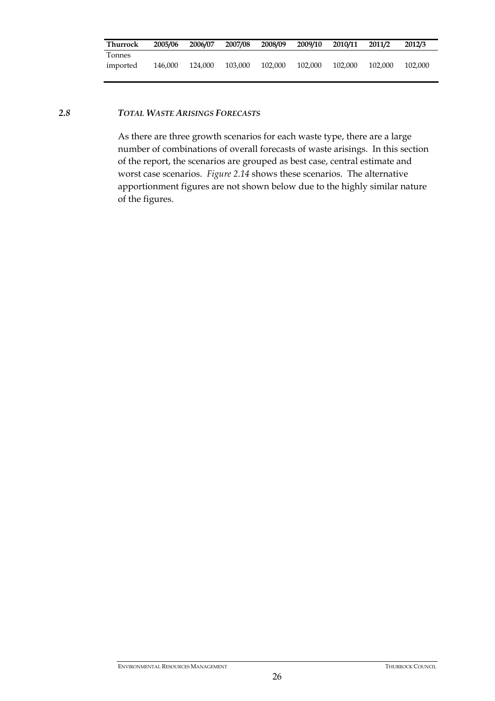| Thurrock | 2005/06 | 2006/07 | 2007/08 | 2008/09 | 2009/10 | 2010/11 | 2011/2  | 2012/3  |
|----------|---------|---------|---------|---------|---------|---------|---------|---------|
| Tonnes   |         |         |         |         |         |         |         |         |
| imported | 146.000 | 124.000 | 103,000 | 102,000 | 102,000 | 102,000 | 102,000 | 102.000 |

#### *2.8 TOTAL WASTE ARISINGS FORECASTS*

As there are three growth scenarios for each waste type, there are a large number of combinations of overall forecasts of waste arisings. In this section of the report, the scenarios are grouped as best case, central estimate and worst case scenarios. *Figure 2.14* shows these scenarios. The alternative apportionment figures are not shown below due to the highly similar nature of the figures.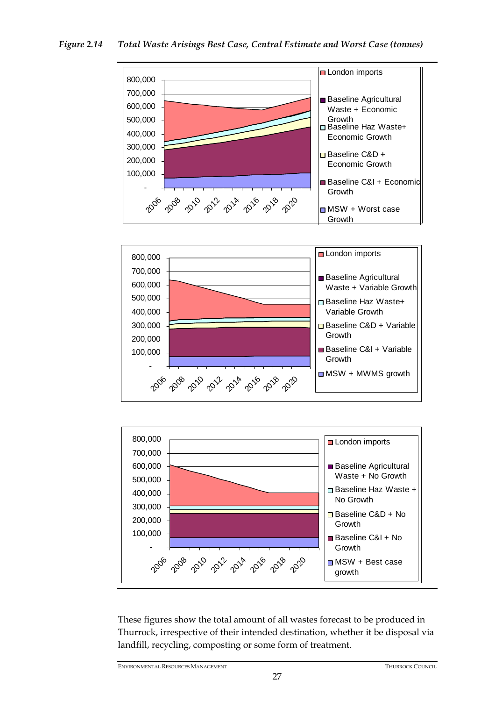



These figures show the total amount of all wastes forecast to be produced in Thurrock, irrespective of their intended destination, whether it be disposal via landfill, recycling, composting or some form of treatment.

ENVIRONMENTAL RESOURCES MANAGEMENT THURROCK COUNCIL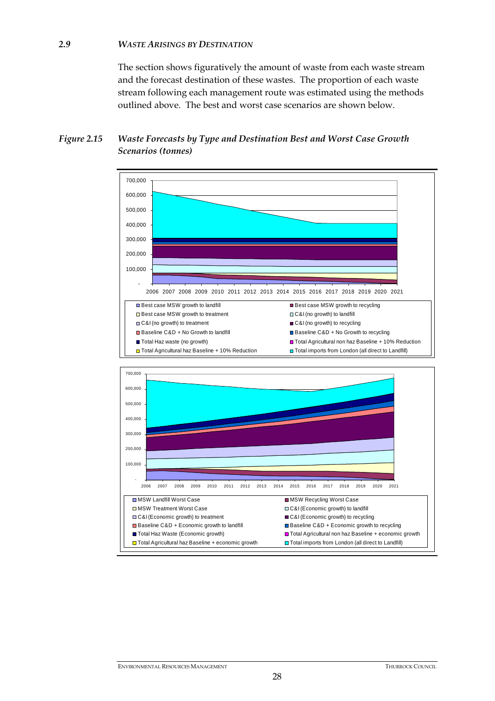## *2.9 WASTE ARISINGS BY DESTINATION*

The section shows figuratively the amount of waste from each waste stream and the forecast destination of these wastes. The proportion of each waste stream following each management route was estimated using the methods outlined above. The best and worst case scenarios are shown below.

# *Figure 2.15 Waste Forecasts by Type and Destination Best and Worst Case Growth Scenarios (tonnes)*

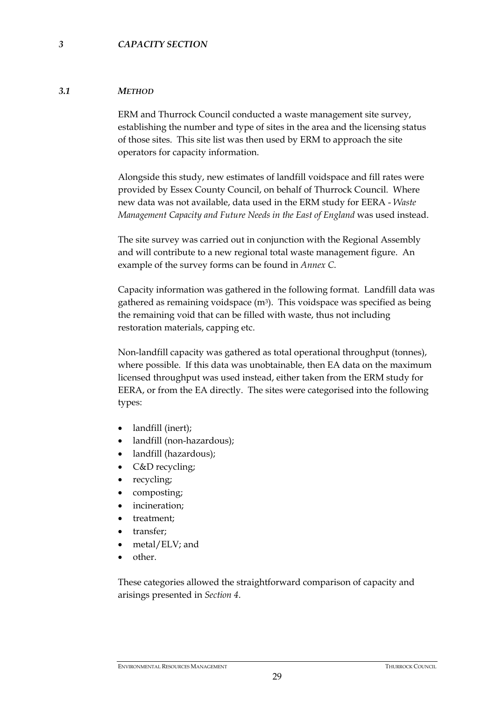#### *3.1 METHOD*

ERM and Thurrock Council conducted a waste management site survey, establishing the number and type of sites in the area and the licensing status of those sites. This site list was then used by ERM to approach the site operators for capacity information.

Alongside this study, new estimates of landfill voidspace and fill rates were provided by Essex County Council, on behalf of Thurrock Council. Where new data was not available, data used in the ERM study for EERA - *Waste Management Capacity and Future Needs in the East of England* was used instead.

The site survey was carried out in conjunction with the Regional Assembly and will contribute to a new regional total waste management figure. An example of the survey forms can be found in *Annex C*.

Capacity information was gathered in the following format. Landfill data was gathered as remaining voidspace  $(m<sup>3</sup>)$ . This voidspace was specified as being the remaining void that can be filled with waste, thus not including restoration materials, capping etc.

Non-landfill capacity was gathered as total operational throughput (tonnes), where possible. If this data was unobtainable, then EA data on the maximum licensed throughput was used instead, either taken from the ERM study for EERA, or from the EA directly. The sites were categorised into the following types:

- landfill (inert);
- landfill (non-hazardous);
- landfill (hazardous);
- C&D recycling;
- recycling;
- composting;
- incineration;
- treatment;
- transfer;
- metal/ELV; and
- other.

These categories allowed the straightforward comparison of capacity and arisings presented in *Section 4*.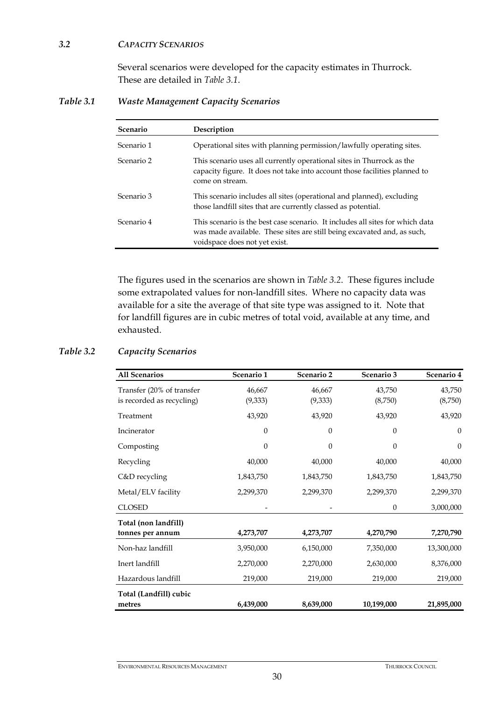#### *3.2 CAPACITY SCENARIOS*

Several scenarios were developed for the capacity estimates in Thurrock. These are detailed in *Table 3.1*.

*Table 3.1 Waste Management Capacity Scenarios* 

| <b>Scenario</b> | Description                                                                                                                                                                               |
|-----------------|-------------------------------------------------------------------------------------------------------------------------------------------------------------------------------------------|
| Scenario 1      | Operational sites with planning permission/lawfully operating sites.                                                                                                                      |
| Scenario 2      | This scenario uses all currently operational sites in Thurrock as the<br>capacity figure. It does not take into account those facilities planned to<br>come on stream.                    |
| Scenario 3      | This scenario includes all sites (operational and planned), excluding<br>those landfill sites that are currently classed as potential.                                                    |
| Scenario 4      | This scenario is the best case scenario. It includes all sites for which data<br>was made available. These sites are still being excavated and, as such,<br>voidspace does not yet exist. |

The figures used in the scenarios are shown in *Table 3.2*. These figures include some extrapolated values for non-landfill sites. Where no capacity data was available for a site the average of that site type was assigned to it. Note that for landfill figures are in cubic metres of total void, available at any time, and exhausted.

# *Table 3.2 Capacity Scenarios*

| <b>All Scenarios</b>      | Scenario 1       | Scenario 2     | Scenario 3       | Scenario 4       |
|---------------------------|------------------|----------------|------------------|------------------|
| Transfer (20% of transfer | 46,667           | 46,667         | 43,750           | 43,750           |
| is recorded as recycling) | (9,333)          | (9,333)        | (8,750)          | (8,750)          |
| Treatment                 | 43,920           | 43,920         | 43,920           | 43,920           |
| Incinerator               | $\boldsymbol{0}$ | $\theta$       | $\theta$         | $\theta$         |
| Composting                | $\boldsymbol{0}$ | $\overline{0}$ | 0                | $\boldsymbol{0}$ |
| Recycling                 | 40,000           | 40,000         | 40,000           | 40,000           |
| C&D recycling             | 1,843,750        | 1,843,750      | 1,843,750        | 1,843,750        |
| Metal/ELV facility        | 2,299,370        | 2,299,370      | 2,299,370        | 2,299,370        |
| <b>CLOSED</b>             |                  |                | $\boldsymbol{0}$ | 3,000,000        |
| Total (non landfill)      |                  |                |                  |                  |
| tonnes per annum          | 4,273,707        | 4,273,707      | 4,270,790        | 7,270,790        |
| Non-haz landfill          | 3,950,000        | 6,150,000      | 7,350,000        | 13,300,000       |
| Inert landfill            | 2,270,000        | 2,270,000      | 2,630,000        | 8,376,000        |
| Hazardous landfill        | 219,000          | 219,000        | 219,000          | 219,000          |
| Total (Landfill) cubic    |                  |                |                  |                  |
| metres                    | 6,439,000        | 8,639,000      | 10,199,000       | 21,895,000       |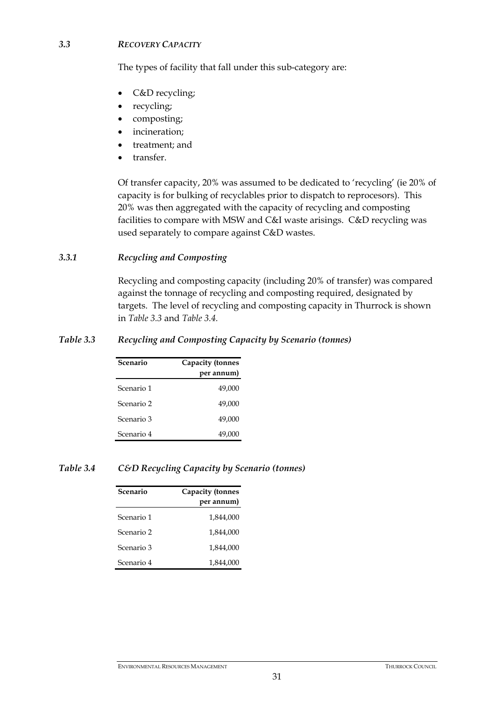#### *3.3 RECOVERY CAPACITY*

The types of facility that fall under this sub-category are:

- C&D recycling;
- recycling;
- composting;
- incineration;
- treatment; and
- transfer.

Of transfer capacity, 20% was assumed to be dedicated to 'recycling' (ie 20% of capacity is for bulking of recyclables prior to dispatch to reprocesors). This 20% was then aggregated with the capacity of recycling and composting facilities to compare with MSW and C&I waste arisings. C&D recycling was used separately to compare against C&D wastes.

#### *3.3.1 Recycling and Composting*

Recycling and composting capacity (including 20% of transfer) was compared against the tonnage of recycling and composting required, designated by targets. The level of recycling and composting capacity in Thurrock is shown in *Table 3.3* and *Table 3.4.*

#### *Table 3.3 Recycling and Composting Capacity by Scenario (tonnes)*

| Scenario   | <b>Capacity (tonnes</b><br>per annum) |
|------------|---------------------------------------|
| Scenario 1 | 49,000                                |
| Scenario 2 | 49,000                                |
| Scenario 3 | 49,000                                |
| Scenario 4 | 49,000                                |

#### *Table 3.4 C&D Recycling Capacity by Scenario (tonnes)*

| Scenario   | <b>Capacity (tonnes</b><br>per annum) |
|------------|---------------------------------------|
| Scenario 1 | 1,844,000                             |
| Scenario 2 | 1,844,000                             |
| Scenario 3 | 1.844.000                             |
| Scenario 4 | 1,844,000                             |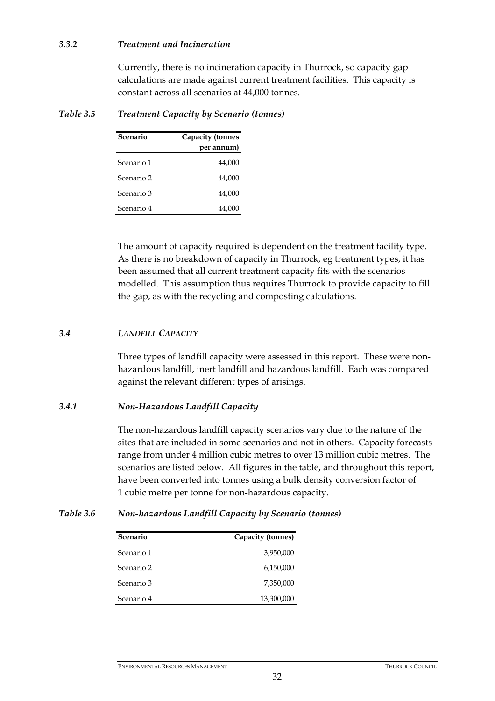#### *3.3.2 Treatment and Incineration*

Currently, there is no incineration capacity in Thurrock, so capacity gap calculations are made against current treatment facilities. This capacity is constant across all scenarios at 44,000 tonnes.

#### *Table 3.5 Treatment Capacity by Scenario (tonnes)*

| Scenario   | <b>Capacity (tonnes</b><br>per annum) |
|------------|---------------------------------------|
| Scenario 1 | 44,000                                |
| Scenario 2 | 44,000                                |
| Scenario 3 | 44,000                                |
| Scenario 4 | 44,000                                |

The amount of capacity required is dependent on the treatment facility type. As there is no breakdown of capacity in Thurrock, eg treatment types, it has been assumed that all current treatment capacity fits with the scenarios modelled. This assumption thus requires Thurrock to provide capacity to fill the gap, as with the recycling and composting calculations.

#### *3.4 LANDFILL CAPACITY*

Three types of landfill capacity were assessed in this report. These were nonhazardous landfill, inert landfill and hazardous landfill. Each was compared against the relevant different types of arisings.

#### *3.4.1 Non-Hazardous Landfill Capacity*

The non-hazardous landfill capacity scenarios vary due to the nature of the sites that are included in some scenarios and not in others. Capacity forecasts range from under 4 million cubic metres to over 13 million cubic metres. The scenarios are listed below. All figures in the table, and throughout this report, have been converted into tonnes using a bulk density conversion factor of 1 cubic metre per tonne for non-hazardous capacity.

#### *Table 3.6 Non-hazardous Landfill Capacity by Scenario (tonnes)*

| Scenario   | Capacity (tonnes) |
|------------|-------------------|
| Scenario 1 | 3,950,000         |
| Scenario 2 | 6,150,000         |
| Scenario 3 | 7,350,000         |
| Scenario 4 | 13,300,000        |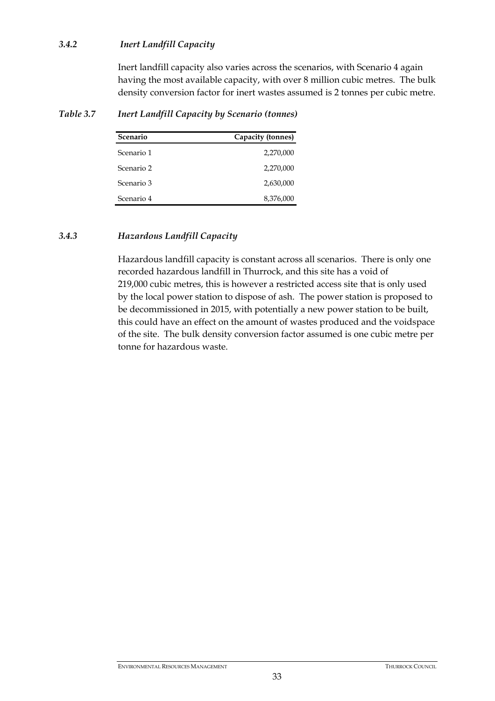#### *3.4.2 Inert Landfill Capacity*

Inert landfill capacity also varies across the scenarios, with Scenario 4 again having the most available capacity, with over 8 million cubic metres. The bulk density conversion factor for inert wastes assumed is 2 tonnes per cubic metre.

| Scenario   | Capacity (tonnes) |
|------------|-------------------|
| Scenario 1 | 2,270,000         |
| Scenario 2 | 2,270,000         |
| Scenario 3 | 2,630,000         |
| Scenario 4 | 8,376,000         |

#### *Table 3.7 Inert Landfill Capacity by Scenario (tonnes)*

#### *3.4.3 Hazardous Landfill Capacity*

Hazardous landfill capacity is constant across all scenarios. There is only one recorded hazardous landfill in Thurrock, and this site has a void of 219,000 cubic metres, this is however a restricted access site that is only used by the local power station to dispose of ash. The power station is proposed to be decommissioned in 2015, with potentially a new power station to be built, this could have an effect on the amount of wastes produced and the voidspace of the site. The bulk density conversion factor assumed is one cubic metre per tonne for hazardous waste.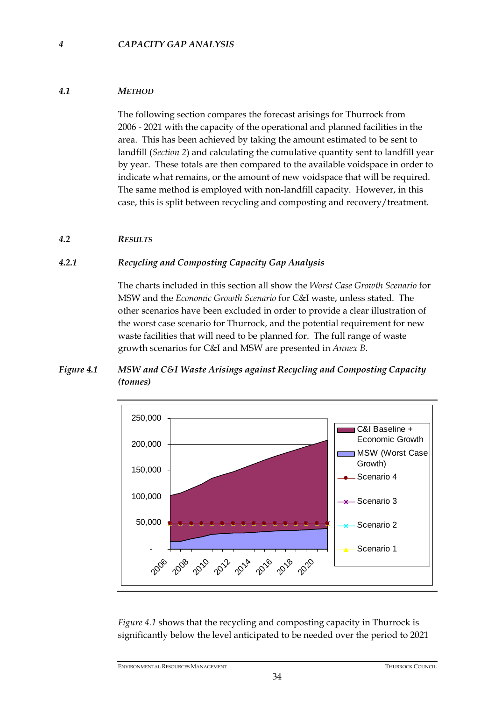#### *4 CAPACITY GAP ANALYSIS*

#### *4.1 METHOD*

The following section compares the forecast arisings for Thurrock from 2006 - 2021 with the capacity of the operational and planned facilities in the area. This has been achieved by taking the amount estimated to be sent to landfill (*Section 2*) and calculating the cumulative quantity sent to landfill year by year. These totals are then compared to the available voidspace in order to indicate what remains, or the amount of new voidspace that will be required. The same method is employed with non-landfill capacity. However, in this case, this is split between recycling and composting and recovery/treatment.

#### *4.2 RESULTS*

#### *4.2.1 Recycling and Composting Capacity Gap Analysis*

The charts included in this section all show the *Worst Case Growth Scenario* for MSW and the *Economic Growth Scenario* for C&I waste, unless stated. The other scenarios have been excluded in order to provide a clear illustration of the worst case scenario for Thurrock, and the potential requirement for new waste facilities that will need to be planned for. The full range of waste growth scenarios for C&I and MSW are presented in *Annex B*.

#### *Figure 4.1 MSW and C&I Waste Arisings against Recycling and Composting Capacity (tonnes)*



*Figure 4.1* shows that the recycling and composting capacity in Thurrock is significantly below the level anticipated to be needed over the period to 2021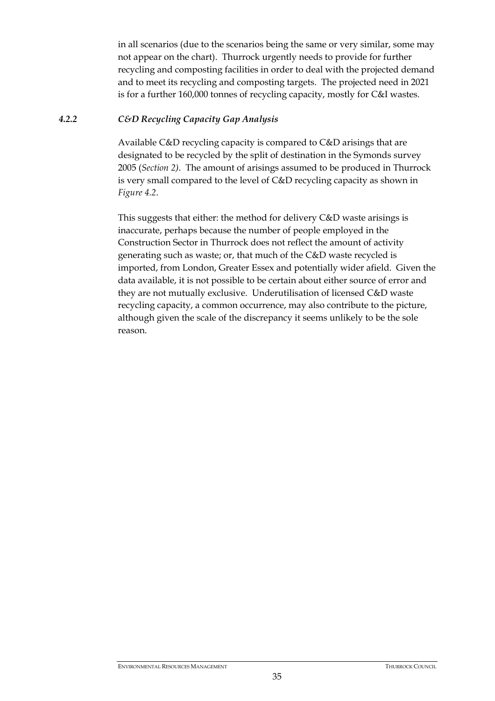in all scenarios (due to the scenarios being the same or very similar, some may not appear on the chart). Thurrock urgently needs to provide for further recycling and composting facilities in order to deal with the projected demand and to meet its recycling and composting targets. The projected need in 2021 is for a further 160,000 tonnes of recycling capacity, mostly for C&I wastes.

#### *4.2.2 C&D Recycling Capacity Gap Analysis*

Available C&D recycling capacity is compared to C&D arisings that are designated to be recycled by the split of destination in the Symonds survey 2005 (*Section 2)*. The amount of arisings assumed to be produced in Thurrock is very small compared to the level of C&D recycling capacity as shown in *Figure 4.2*.

This suggests that either: the method for delivery C&D waste arisings is inaccurate, perhaps because the number of people employed in the Construction Sector in Thurrock does not reflect the amount of activity generating such as waste; or, that much of the C&D waste recycled is imported, from London, Greater Essex and potentially wider afield. Given the data available, it is not possible to be certain about either source of error and they are not mutually exclusive. Underutilisation of licensed C&D waste recycling capacity, a common occurrence, may also contribute to the picture, although given the scale of the discrepancy it seems unlikely to be the sole reason.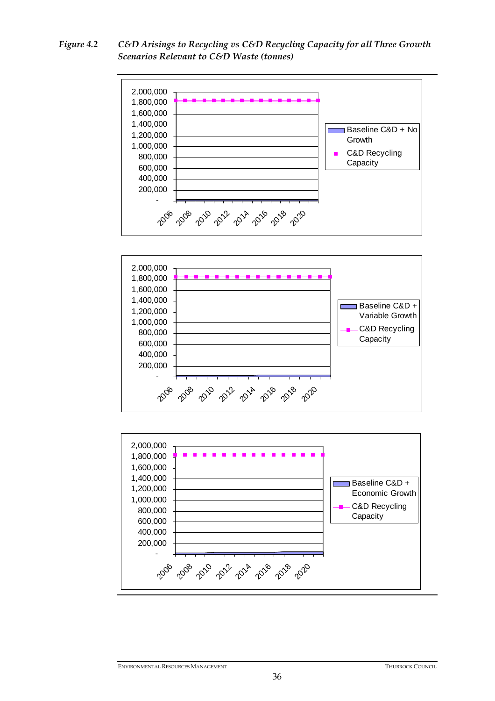*Figure 4.2 C&D Arisings to Recycling vs C&D Recycling Capacity for all Three Growth Scenarios Relevant to C&D Waste (tonnes)* 







ENVIRONMENTAL RESOURCES MANAGEMENT THURROCK COUNCIL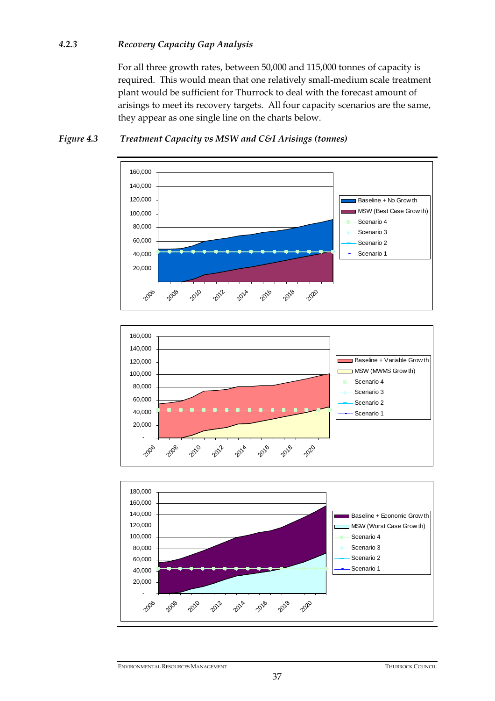#### *4.2.3 Recovery Capacity Gap Analysis*

For all three growth rates, between 50,000 and 115,000 tonnes of capacity is required. This would mean that one relatively small-medium scale treatment plant would be sufficient for Thurrock to deal with the forecast amount of arisings to meet its recovery targets. All four capacity scenarios are the same, they appear as one single line on the charts below.



#### *Figure 4.3 Treatment Capacity vs MSW and C&I Arisings (tonnes)*



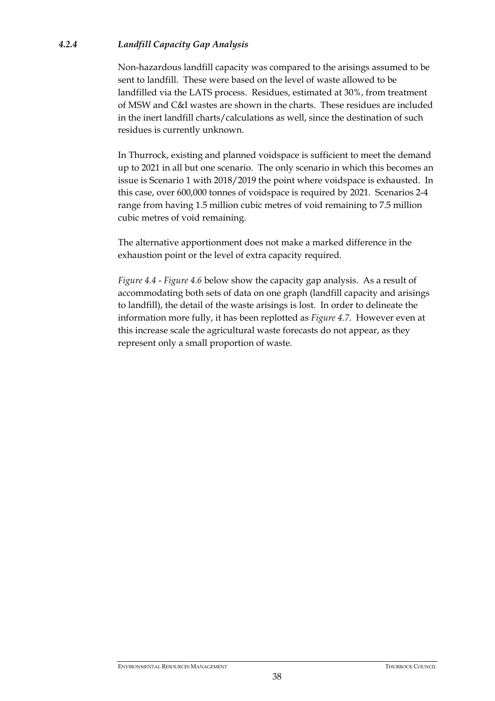#### *4.2.4 Landfill Capacity Gap Analysis*

Non-hazardous landfill capacity was compared to the arisings assumed to be sent to landfill. These were based on the level of waste allowed to be landfilled via the LATS process. Residues, estimated at 30%, from treatment of MSW and C&I wastes are shown in the charts. These residues are included in the inert landfill charts/calculations as well, since the destination of such residues is currently unknown.

In Thurrock, existing and planned voidspace is sufficient to meet the demand up to 2021 in all but one scenario. The only scenario in which this becomes an issue is Scenario 1 with 2018/2019 the point where voidspace is exhausted. In this case, over 600,000 tonnes of voidspace is required by 2021. Scenarios 2-4 range from having 1.5 million cubic metres of void remaining to 7.5 million cubic metres of void remaining.

The alternative apportionment does not make a marked difference in the exhaustion point or the level of extra capacity required.

*Figure 4.4* - *Figure 4.6* below show the capacity gap analysis. As a result of accommodating both sets of data on one graph (landfill capacity and arisings to landfill), the detail of the waste arisings is lost. In order to delineate the information more fully, it has been replotted as *Figure 4.7*. However even at this increase scale the agricultural waste forecasts do not appear, as they represent only a small proportion of waste.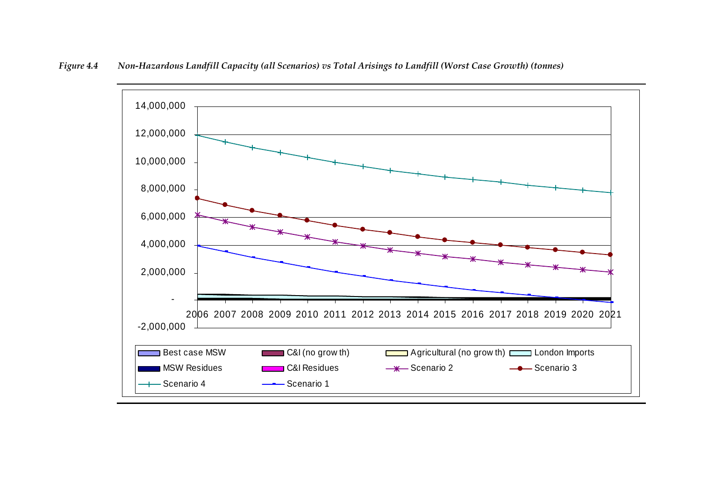

*Figure 4.4 Non-Hazardous Landfill Capacity (all Scenarios) vs Total Arisings to Landfill (Worst Case Growth) (tonnes)*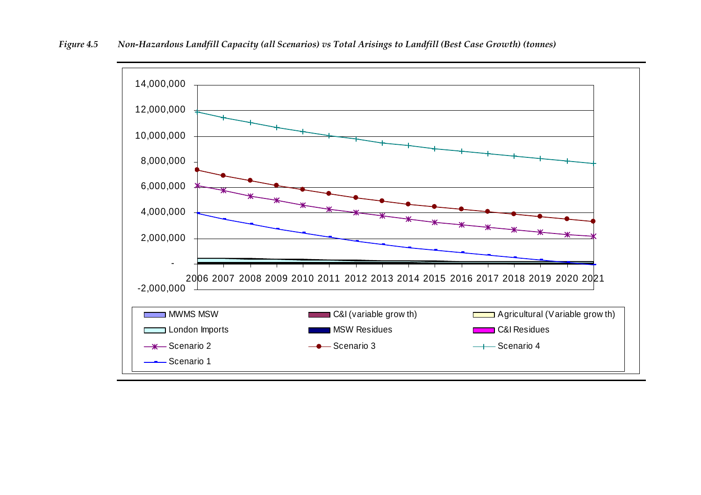

*Figure 4.5 Non-Hazardous Landfill Capacity (all Scenarios) vs Total Arisings to Landfill (Best Case Growth) (tonnes)*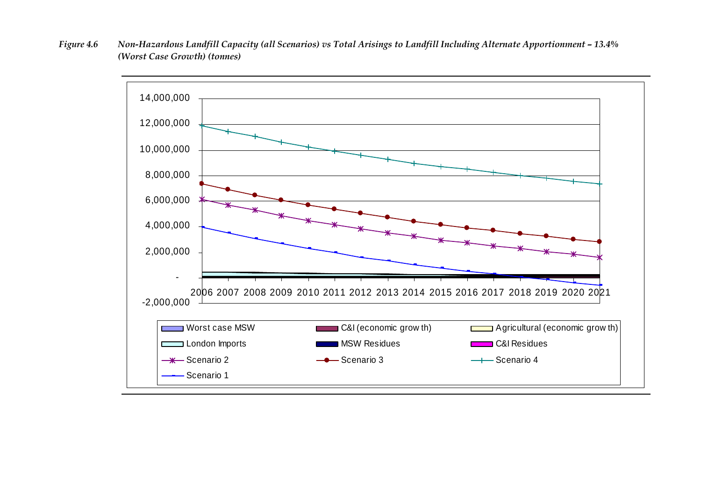*Figure 4.6 Non-Hazardous Landfill Capacity (all Scenarios) vs Total Arisings to Landfill Including Alternate Apportionment – 13.4% (Worst Case Growth) (tonnes)* 

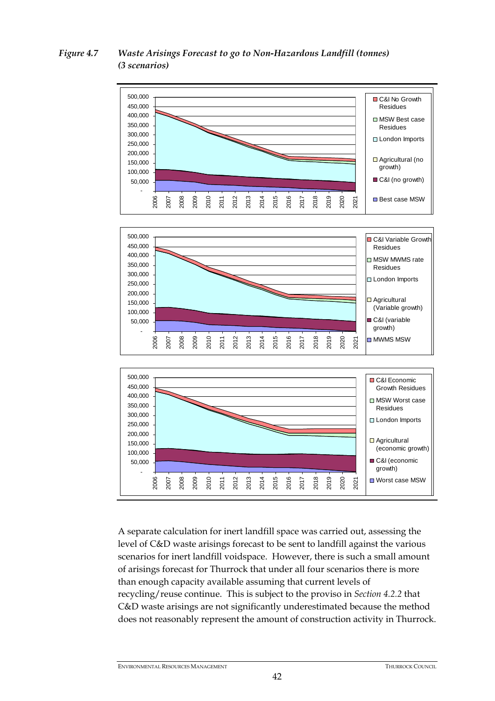#### *Figure 4.7 Waste Arisings Forecast to go to Non-Hazardous Landfill (tonnes) (3 scenarios)*



A separate calculation for inert landfill space was carried out, assessing the level of C&D waste arisings forecast to be sent to landfill against the various scenarios for inert landfill voidspace. However, there is such a small amount of arisings forecast for Thurrock that under all four scenarios there is more than enough capacity available assuming that current levels of recycling/reuse continue. This is subject to the proviso in *Section 4.2.2* that C&D waste arisings are not significantly underestimated because the method does not reasonably represent the amount of construction activity in Thurrock.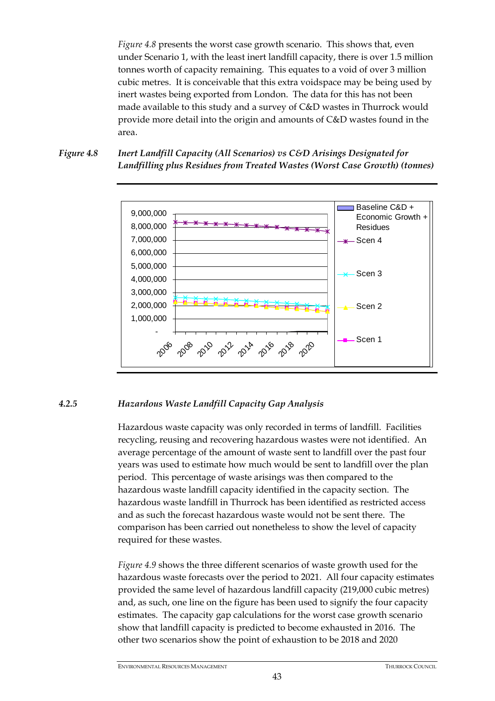*Figure 4.8* presents the worst case growth scenario. This shows that, even under Scenario 1, with the least inert landfill capacity, there is over 1.5 million tonnes worth of capacity remaining. This equates to a void of over 3 million cubic metres. It is conceivable that this extra voidspace may be being used by inert wastes being exported from London. The data for this has not been made available to this study and a survey of C&D wastes in Thurrock would provide more detail into the origin and amounts of C&D wastes found in the area.





#### *4.2.5 Hazardous Waste Landfill Capacity Gap Analysis*

Hazardous waste capacity was only recorded in terms of landfill. Facilities recycling, reusing and recovering hazardous wastes were not identified. An average percentage of the amount of waste sent to landfill over the past four years was used to estimate how much would be sent to landfill over the plan period. This percentage of waste arisings was then compared to the hazardous waste landfill capacity identified in the capacity section. The hazardous waste landfill in Thurrock has been identified as restricted access and as such the forecast hazardous waste would not be sent there. The comparison has been carried out nonetheless to show the level of capacity required for these wastes.

*Figure 4.9* shows the three different scenarios of waste growth used for the hazardous waste forecasts over the period to 2021. All four capacity estimates provided the same level of hazardous landfill capacity (219,000 cubic metres) and, as such, one line on the figure has been used to signify the four capacity estimates. The capacity gap calculations for the worst case growth scenario show that landfill capacity is predicted to become exhausted in 2016. The other two scenarios show the point of exhaustion to be 2018 and 2020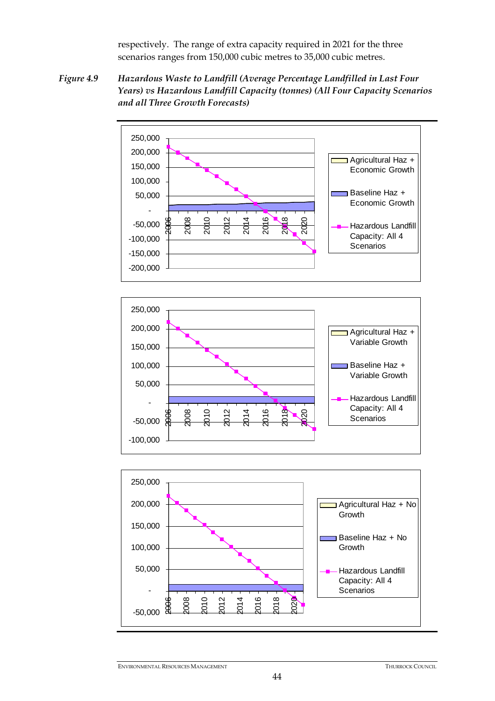respectively. The range of extra capacity required in 2021 for the three scenarios ranges from 150,000 cubic metres to 35,000 cubic metres.

*Figure 4.9 Hazardous Waste to Landfill (Average Percentage Landfilled in Last Four Years) vs Hazardous Landfill Capacity (tonnes) (All Four Capacity Scenarios and all Three Growth Forecasts)* 

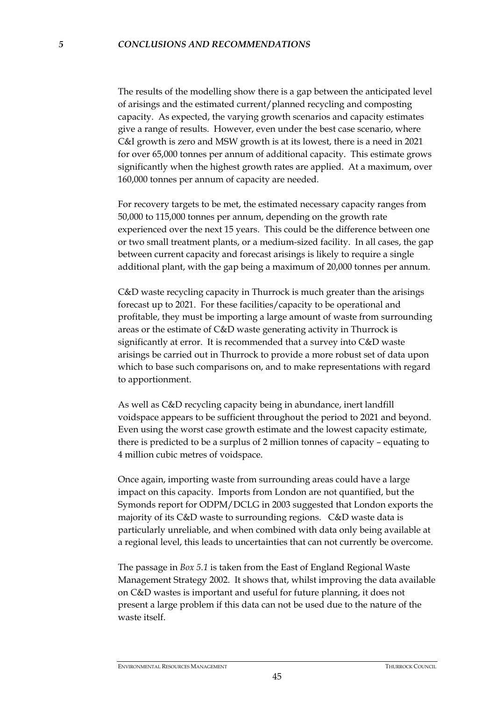The results of the modelling show there is a gap between the anticipated level of arisings and the estimated current/planned recycling and composting capacity. As expected, the varying growth scenarios and capacity estimates give a range of results. However, even under the best case scenario, where C&I growth is zero and MSW growth is at its lowest, there is a need in 2021 for over 65,000 tonnes per annum of additional capacity. This estimate grows significantly when the highest growth rates are applied. At a maximum, over 160,000 tonnes per annum of capacity are needed.

For recovery targets to be met, the estimated necessary capacity ranges from 50,000 to 115,000 tonnes per annum, depending on the growth rate experienced over the next 15 years. This could be the difference between one or two small treatment plants, or a medium-sized facility. In all cases, the gap between current capacity and forecast arisings is likely to require a single additional plant, with the gap being a maximum of 20,000 tonnes per annum.

C&D waste recycling capacity in Thurrock is much greater than the arisings forecast up to 2021. For these facilities/capacity to be operational and profitable, they must be importing a large amount of waste from surrounding areas or the estimate of C&D waste generating activity in Thurrock is significantly at error. It is recommended that a survey into C&D waste arisings be carried out in Thurrock to provide a more robust set of data upon which to base such comparisons on, and to make representations with regard to apportionment.

As well as C&D recycling capacity being in abundance, inert landfill voidspace appears to be sufficient throughout the period to 2021 and beyond. Even using the worst case growth estimate and the lowest capacity estimate, there is predicted to be a surplus of 2 million tonnes of capacity – equating to 4 million cubic metres of voidspace.

Once again, importing waste from surrounding areas could have a large impact on this capacity. Imports from London are not quantified, but the Symonds report for ODPM/DCLG in 2003 suggested that London exports the majority of its C&D waste to surrounding regions. C&D waste data is particularly unreliable, and when combined with data only being available at a regional level, this leads to uncertainties that can not currently be overcome.

The passage in *Box 5.1* is taken from the East of England Regional Waste Management Strategy 2002. It shows that, whilst improving the data available on C&D wastes is important and useful for future planning, it does not present a large problem if this data can not be used due to the nature of the waste itself.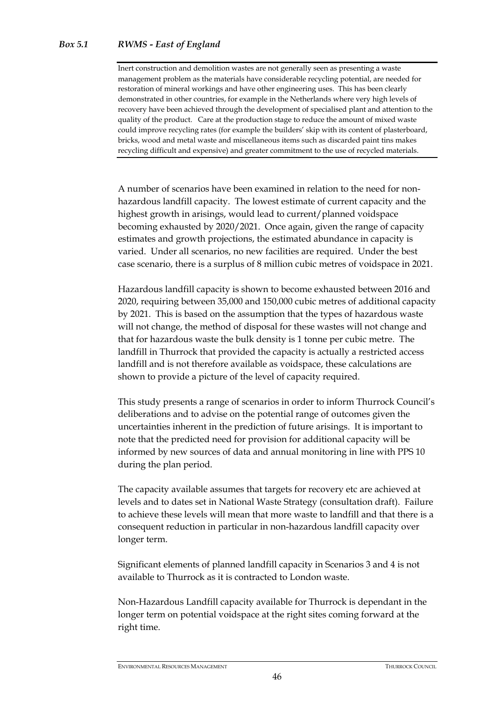Inert construction and demolition wastes are not generally seen as presenting a waste management problem as the materials have considerable recycling potential, are needed for restoration of mineral workings and have other engineering uses. This has been clearly demonstrated in other countries, for example in the Netherlands where very high levels of recovery have been achieved through the development of specialised plant and attention to the quality of the product. Care at the production stage to reduce the amount of mixed waste could improve recycling rates (for example the builders' skip with its content of plasterboard, bricks, wood and metal waste and miscellaneous items such as discarded paint tins makes recycling difficult and expensive) and greater commitment to the use of recycled materials.

A number of scenarios have been examined in relation to the need for nonhazardous landfill capacity. The lowest estimate of current capacity and the highest growth in arisings, would lead to current/planned voidspace becoming exhausted by 2020/2021. Once again, given the range of capacity estimates and growth projections, the estimated abundance in capacity is varied. Under all scenarios, no new facilities are required. Under the best case scenario, there is a surplus of 8 million cubic metres of voidspace in 2021.

Hazardous landfill capacity is shown to become exhausted between 2016 and 2020, requiring between 35,000 and 150,000 cubic metres of additional capacity by 2021. This is based on the assumption that the types of hazardous waste will not change, the method of disposal for these wastes will not change and that for hazardous waste the bulk density is 1 tonne per cubic metre. The landfill in Thurrock that provided the capacity is actually a restricted access landfill and is not therefore available as voidspace, these calculations are shown to provide a picture of the level of capacity required.

This study presents a range of scenarios in order to inform Thurrock Council's deliberations and to advise on the potential range of outcomes given the uncertainties inherent in the prediction of future arisings. It is important to note that the predicted need for provision for additional capacity will be informed by new sources of data and annual monitoring in line with PPS 10 during the plan period.

The capacity available assumes that targets for recovery etc are achieved at levels and to dates set in National Waste Strategy (consultation draft). Failure to achieve these levels will mean that more waste to landfill and that there is a consequent reduction in particular in non-hazardous landfill capacity over longer term.

Significant elements of planned landfill capacity in Scenarios 3 and 4 is not available to Thurrock as it is contracted to London waste.

Non-Hazardous Landfill capacity available for Thurrock is dependant in the longer term on potential voidspace at the right sites coming forward at the right time.

ENVIRONMENTAL RESOURCES MANAGEMENT THURROCK COUNCIL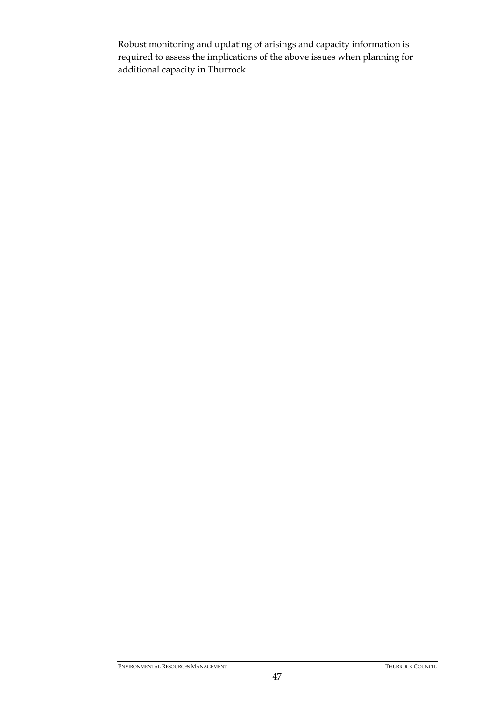Robust monitoring and updating of arisings and capacity information is required to assess the implications of the above issues when planning for additional capacity in Thurrock.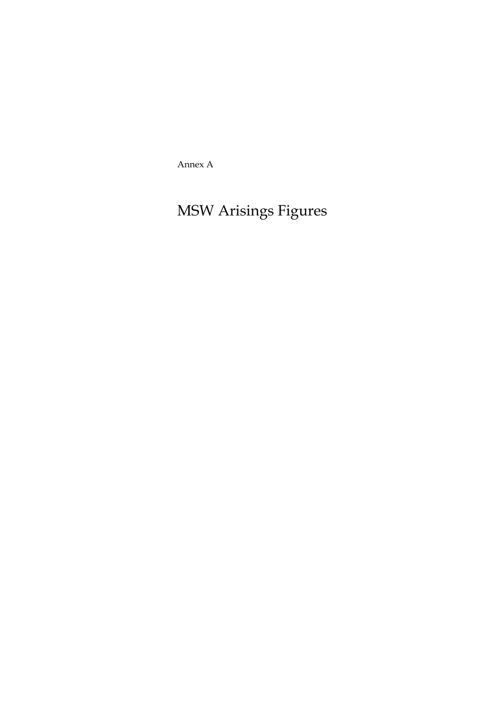Annex A

# MSW Arisings Figures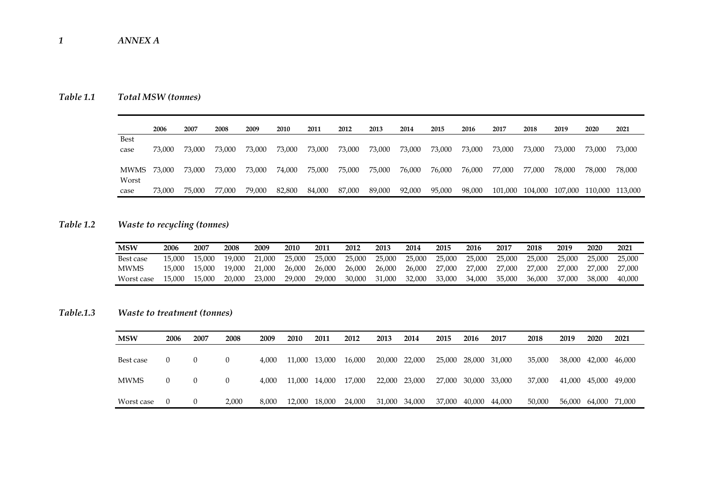### *Table 1.1 Total MSW (tonnes)*

|                     | 2006   | 2007   | 2008   | 2009   | 2010   | 2011   | 2012   | 2013   | 2014   | 2015   | 2016   | 2017    | 2018   | 2019            | 2020    | 2021    |
|---------------------|--------|--------|--------|--------|--------|--------|--------|--------|--------|--------|--------|---------|--------|-----------------|---------|---------|
| <b>Best</b><br>case | 73,000 | 73,000 | 73,000 | 73,000 | 73,000 | 73,000 | 73,000 | 73,000 | 73,000 | 73,000 | 73,000 | 73,000  | 73,000 | 73,000          | 73,000  | 73,000  |
| MWMS<br>Worst       | 73,000 | 73,000 | 73,000 | 73,000 | 74,000 | 75,000 | 75,000 | 75,000 | 76,000 | 76,000 | 76,000 | 77,000  | 77.000 | 78,000          | 78,000  | 78,000  |
| case                | 73,000 | 75,000 | 77.000 | 79,000 | 82,800 | 84,000 | 87,000 | 89,000 | 92,000 | 95,000 | 98,000 | 101,000 |        | 104,000 107,000 | 110.000 | 113,000 |

## *Table 1.2 Waste to recycling (tonnes)*

| <b>MSW</b>  | 2006   | 2007   | 2008   | 2009   | 2010   | 2011   | 2012   | 2013   | 2014   | 2015   | 2016   | 201"   | 2018   | 2019   | 2020   | 2021   |
|-------------|--------|--------|--------|--------|--------|--------|--------|--------|--------|--------|--------|--------|--------|--------|--------|--------|
| Best case   | 15.000 | 15.000 | 19.000 | 21,000 | 25,000 | 25,000 | 25,000 | 25,000 | 25,000 | 25,000 | 25,000 | 25,000 | 25,000 | 25,000 | 25.000 | 25,000 |
| <b>MWMS</b> | 15.000 | 15.000 | 19.000 | 21,000 | 26.000 | 26,000 | 26,000 | 26,000 | 26,000 | 27,000 | 27,000 | 27,000 | 27,000 | 27,000 | 27.000 | 27,000 |
| Worst case  | 15.000 | 15.000 | 20,000 | 23,000 | 29,000 | 29,000 | 30,000 | 31,000 | 32,000 | 33,000 | 34,000 | 35,000 | 36,000 | 37.000 | 38.000 | 40.000 |

### *Table.1.3 Waste to treatment (tonnes)*

| <b>MSW</b>  | 2006     | 2007     | 2008     | 2009  | <b>2010</b>   | 2011 | 2012   | 2013          | 2014   | 2015 | 2016          | 2017   | 2018   | 2019   | 2020                 | 2021 |
|-------------|----------|----------|----------|-------|---------------|------|--------|---------------|--------|------|---------------|--------|--------|--------|----------------------|------|
| Best case   |          | $\theta$ | $\theta$ | 4.000 | 11,000 13,000 |      | 16,000 | 20,000        | 22,000 |      | 25,000 28,000 | 31.000 | 35,000 | 38,000 | 42,000 46,000        |      |
| <b>MWMS</b> | $\theta$ | $\theta$ | $\Omega$ | 4.000 | 11,000 14,000 |      | 17,000 | 22,000        | 23,000 |      | 27,000 30,000 | 33,000 | 37,000 | 41,000 | 45,000 49,000        |      |
| Worst case  |          | $\theta$ | 2,000    | 8.000 | 12,000 18,000 |      | 24,000 | 31,000 34,000 |        |      | 37,000 40,000 | 44,000 | 50,000 |        | 56,000 64,000 71,000 |      |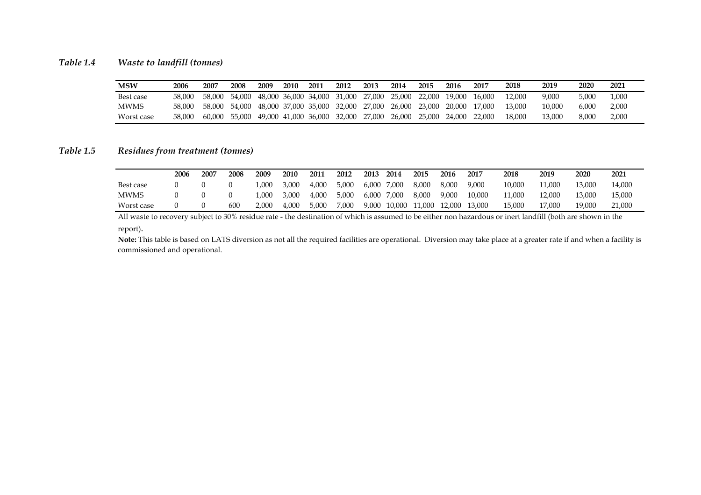#### *Table 1.4 Waste to landfill (tonnes)*

| <b>MSW</b>  | 2006   | 2007   | 2008   | 2009   | 2010 | 2011                 | 2012                        | 2013   | 2014   | 2015   | 2016   | 2017   | 2018   | 2019   | 2020  | 2021  |
|-------------|--------|--------|--------|--------|------|----------------------|-----------------------------|--------|--------|--------|--------|--------|--------|--------|-------|-------|
| Best case   | 58.000 | 58.000 | 54,000 | 48.000 |      |                      | 36,000 34,000 31,000        | 27.000 | 25.000 | 22.000 | 19.000 | 16.000 | 12.000 | 9.000  | 5.000 | .000  |
| <b>MWMS</b> | 58.000 | 58,000 | 54.000 |        |      |                      | 48,000 37,000 35,000 32,000 | 27,000 | 26.000 | 23.000 | 20.000 | 17.000 | 13.000 | 10.000 | 6.000 | 2,000 |
| Worst case  | 58,000 | 60.000 | 55,000 | 49.000 |      | 41,000 36,000 32,000 |                             | 27,000 | 26.000 | 25,000 | 24,000 | 22,000 | 18.000 | 13,000 | 8.000 | 2,000 |

#### *Table 1.5 Residues from treatment (tonnes)*

|             | 2006 | 2007 | 2008 | 2009  | 2010  | 2011  | 2012  | 2013  | 2014   | 2015   | 2016   | 2017   | 2018   | 2019   | 2020   | 2021   |
|-------------|------|------|------|-------|-------|-------|-------|-------|--------|--------|--------|--------|--------|--------|--------|--------|
| Best case   |      |      |      | .000  | 3.000 | 4.000 | 5.000 | 6,000 | 7,000  | 8,000  | 8.000  | 9.000  | 10.000 | 11.000 | 13.000 | 14,000 |
| <b>MWMS</b> |      |      |      | .000  | 3,000 | 4,000 | 5,000 | 6,000 | 7,000  | 8,000  | 9,000  | 10.000 | 11.000 | 12.000 | 13,000 | 15,000 |
| Worst case  |      |      | 600  | 2.000 | 4,000 | 5,000 | 7,000 | 9,000 | 10,000 | 11,000 | 12,000 | 13,000 | 15.000 | 17,000 | 19,000 | 21,000 |

All waste to recovery subject to 30% residue rate - the destination of which is assumed to be either non hazardous or inert landfill (both are shown in the report).

**Note:** This table is based on LATS diversion as not all the required facilities are operational. Diversion may take place at a greater rate if and when a facility is commissioned and operational.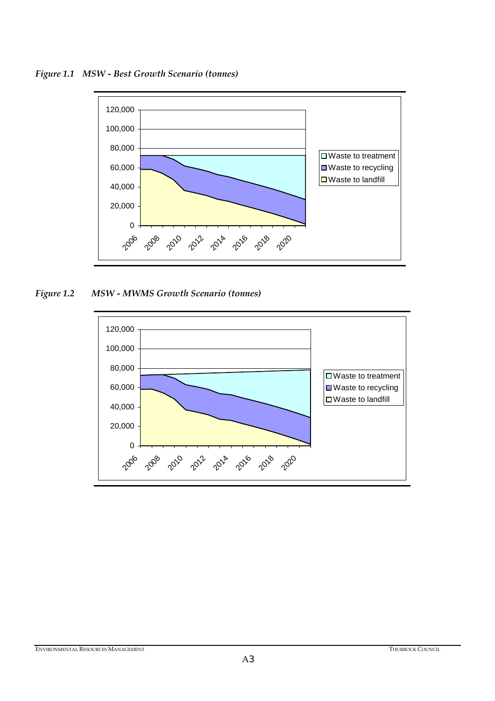*Figure 1.1 MSW - Best Growth Scenario (tonnes)* 



*Figure 1.2 MSW - MWMS Growth Scenario (tonnes)* 

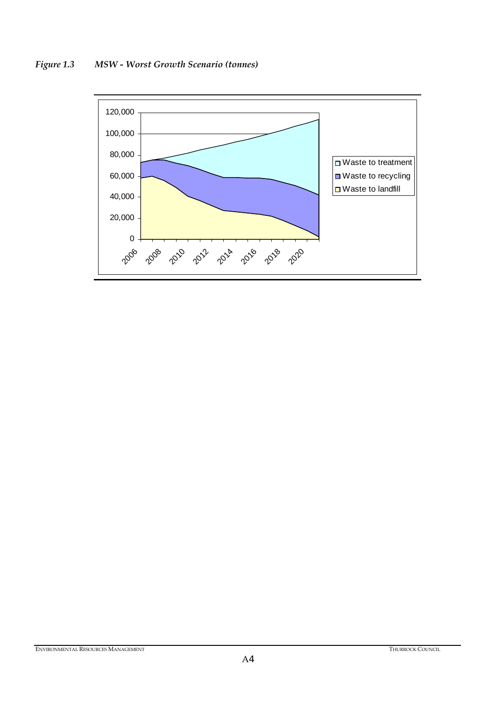



ENVIRONMENTAL RESOURCES MANAGEMENT **THURROCK COUNCIL**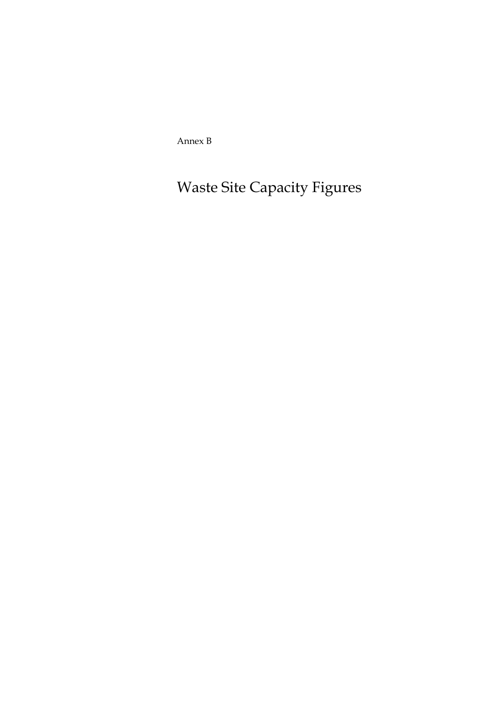Annex B

Waste Site Capacity Figures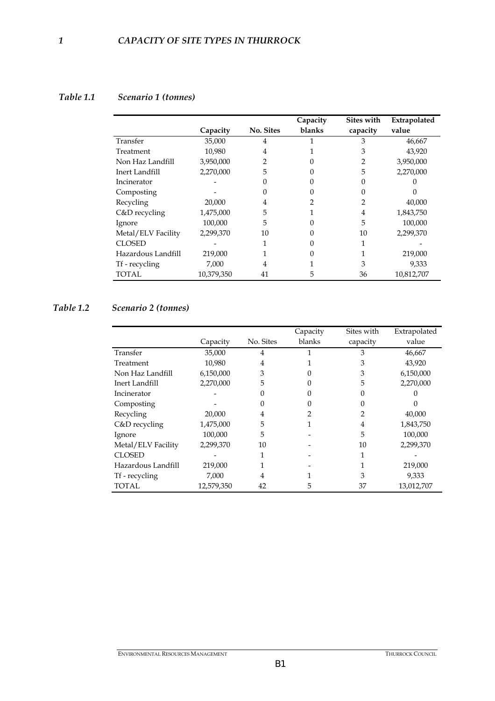#### *Table 1.1 Scenario 1 (tonnes)*

|                    |            |           | Capacity | Sites with | Extrapolated |
|--------------------|------------|-----------|----------|------------|--------------|
|                    | Capacity   | No. Sites | blanks   | capacity   | value        |
| Transfer           | 35,000     | 4         |          | 3          | 46,667       |
| Treatment          | 10,980     | 4         |          | 3          | 43,920       |
| Non Haz Landfill   | 3,950,000  | 2         |          |            | 3,950,000    |
| Inert Landfill     | 2,270,000  | 5         |          | 5          | 2,270,000    |
| Incinerator        |            |           |          |            |              |
| Composting         |            |           |          |            |              |
| Recycling          | 20,000     | 4         |          |            | 40,000       |
| C&D recycling      | 1,475,000  | 5         |          | 4          | 1,843,750    |
| Ignore             | 100,000    | 5         |          | 5          | 100,000      |
| Metal/ELV Facility | 2,299,370  | 10        |          | 10         | 2,299,370    |
| <b>CLOSED</b>      |            |           |          |            |              |
| Hazardous Landfill | 219,000    |           |          |            | 219,000      |
| Tf - recycling     | 7,000      | 4         |          | 3          | 9,333        |
| <b>TOTAL</b>       | 10,379,350 | 41        | 5        | 36         | 10,812,707   |

# *Table 1.2 Scenario 2 (tonnes)*

|                    |            |           | Capacity | Sites with | Extrapolated |
|--------------------|------------|-----------|----------|------------|--------------|
|                    | Capacity   | No. Sites | blanks   | capacity   | value        |
| Transfer           | 35,000     | 4         |          | 3          | 46,667       |
| Treatment          | 10.980     | 4         |          | 3          | 43,920       |
| Non Haz Landfill   | 6,150,000  | 3         |          | 3          | 6,150,000    |
| Inert Landfill     | 2,270,000  | 5         |          | 5          | 2,270,000    |
| Incinerator        |            |           |          |            |              |
| Composting         |            |           |          |            |              |
| Recycling          | 20,000     | 4         |          | 2          | 40,000       |
| C&D recycling      | 1,475,000  | 5         |          | 4          | 1,843,750    |
| Ignore             | 100,000    | 5         |          | 5          | 100,000      |
| Metal/ELV Facility | 2,299,370  | 10        |          | 10         | 2,299,370    |
| <b>CLOSED</b>      |            |           |          |            |              |
| Hazardous Landfill | 219,000    |           |          |            | 219,000      |
| Tf - recycling     | 7,000      | 4         |          | 3          | 9.333        |
| TOTAL              | 12,579,350 | 42        | 5        | 37         | 13,012,707   |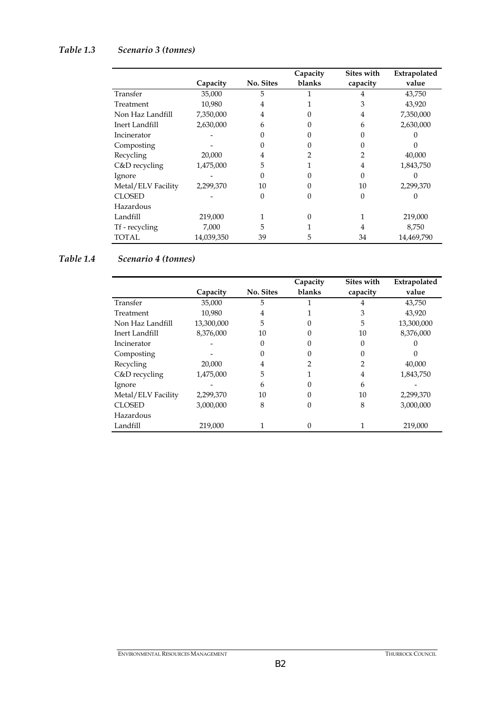# *Table 1.3 Scenario 3 (tonnes)*

|                    |            |           | Capacity | Sites with | Extrapolated |
|--------------------|------------|-----------|----------|------------|--------------|
|                    | Capacity   | No. Sites | blanks   | capacity   | value        |
| Transfer           | 35,000     | 5         |          | 4          | 43,750       |
| Treatment          | 10,980     | 4         |          | 3          | 43,920       |
| Non Haz Landfill   | 7,350,000  | 4         | 0        | 4          | 7,350,000    |
| Inert Landfill     | 2,630,000  | 6         |          | 6          | 2,630,000    |
| Incinerator        |            |           |          |            |              |
| Composting         |            |           |          |            |              |
| Recycling          | 20,000     | 4         |          | 2          | 40,000       |
| C&D recycling      | 1,475,000  | 5         |          | 4          | 1,843,750    |
| Ignore             |            | 0         |          | 0          |              |
| Metal/ELV Facility | 2,299,370  | 10        |          | 10         | 2,299,370    |
| <b>CLOSED</b>      |            | 0         |          | $\Omega$   |              |
| Hazardous          |            |           |          |            |              |
| Landfill           | 219,000    |           | $\theta$ | 1          | 219,000      |
| Tf - recycling     | 7,000      | 5         |          | 4          | 8,750        |
| TOTAL              | 14,039,350 | 39        | 5        | 34         | 14,469,790   |

#### *Table 1.4 Scenario 4 (tonnes)*

|                    |            |           | Capacity | Sites with     | Extrapolated |
|--------------------|------------|-----------|----------|----------------|--------------|
|                    | Capacity   | No. Sites | blanks   | capacity       | value        |
| Transfer           | 35,000     | 5         |          | 4              | 43,750       |
| Treatment          | 10,980     | 4         |          | 3              | 43,920       |
| Non Haz Landfill   | 13,300,000 | 5         |          | 5              | 13,300,000   |
| Inert Landfill     | 8,376,000  | 10        | 0        | 10             | 8,376,000    |
| Incinerator        |            |           |          | 0              |              |
| Composting         |            |           |          |                |              |
| Recycling          | 20,000     | 4         | 2        | $\overline{2}$ | 40,000       |
| $C&D$ recycling    | 1,475,000  | 5         |          | $\overline{4}$ | 1,843,750    |
| Ignore             |            | 6         |          | 6              |              |
| Metal/ELV Facility | 2,299,370  | 10        | 0        | 10             | 2,299,370    |
| <b>CLOSED</b>      | 3,000,000  | 8         | 0        | 8              | 3,000,000    |
| Hazardous          |            |           |          |                |              |
| Landfill           | 219,000    |           | 0        |                | 219,000      |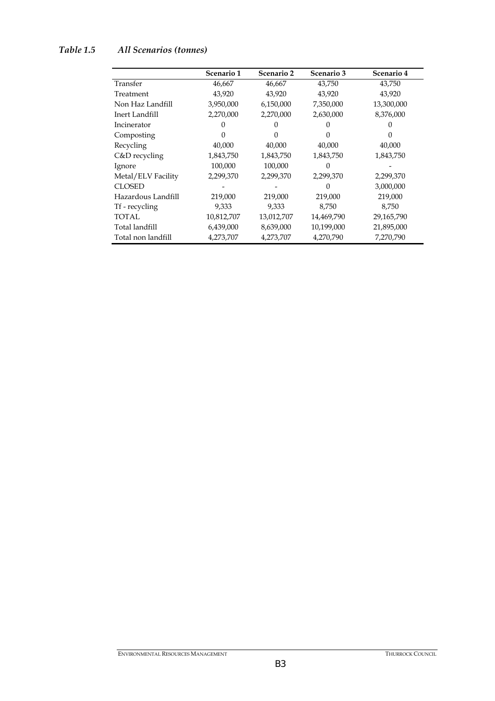# *Table 1.5 All Scenarios (tonnes)*

|                    | Scenario 1 | Scenario 2 | Scenario 3 | Scenario 4 |
|--------------------|------------|------------|------------|------------|
| Transfer           | 46,667     | 46,667     | 43,750     | 43,750     |
| Treatment          | 43,920     | 43,920     | 43,920     | 43,920     |
| Non Haz Landfill   | 3,950,000  | 6,150,000  | 7,350,000  | 13,300,000 |
| Inert Landfill     | 2,270,000  | 2,270,000  | 2,630,000  | 8,376,000  |
| Incinerator        |            |            |            | 0          |
| Composting         |            |            |            |            |
| Recycling          | 40,000     | 40,000     | 40,000     | 40,000     |
| C&D recycling      | 1,843,750  | 1,843,750  | 1,843,750  | 1,843,750  |
| Ignore             | 100,000    | 100,000    |            |            |
| Metal/ELV Facility | 2,299,370  | 2,299,370  | 2,299,370  | 2,299,370  |
| CLOSED             |            |            | $\Omega$   | 3,000,000  |
| Hazardous Landfill | 219,000    | 219,000    | 219,000    | 219,000    |
| Tf - recycling     | 9,333      | 9,333      | 8,750      | 8,750      |
| TOTAL.             | 10,812,707 | 13,012,707 | 14,469,790 | 29,165,790 |
| Total landfill     | 6,439,000  | 8,639,000  | 10,199,000 | 21,895,000 |
| Total non landfill | 4,273,707  | 4,273,707  | 4,270,790  | 7,270,790  |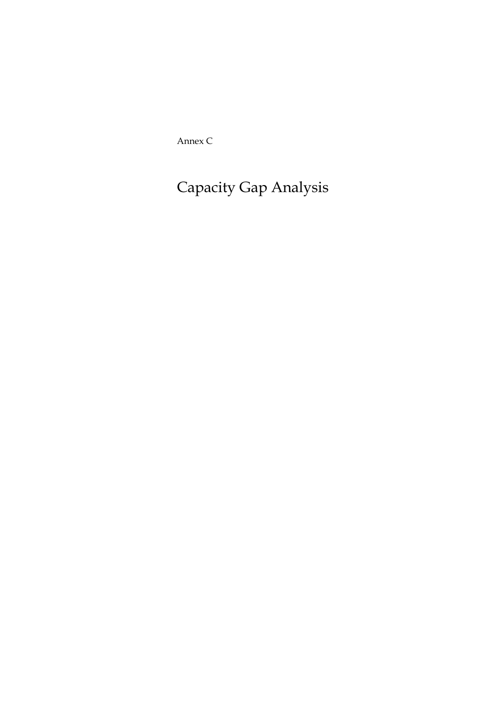Annex C

Capacity Gap Analysis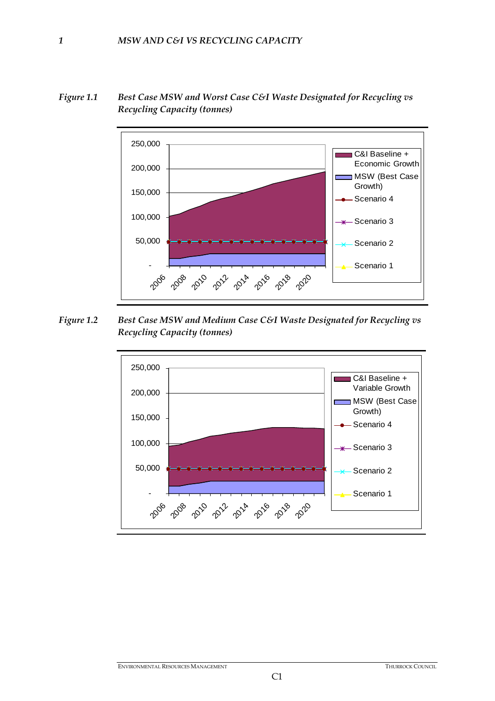



*Figure 1.2 Best Case MSW and Medium Case C&I Waste Designated for Recycling vs Recycling Capacity (tonnes)* 

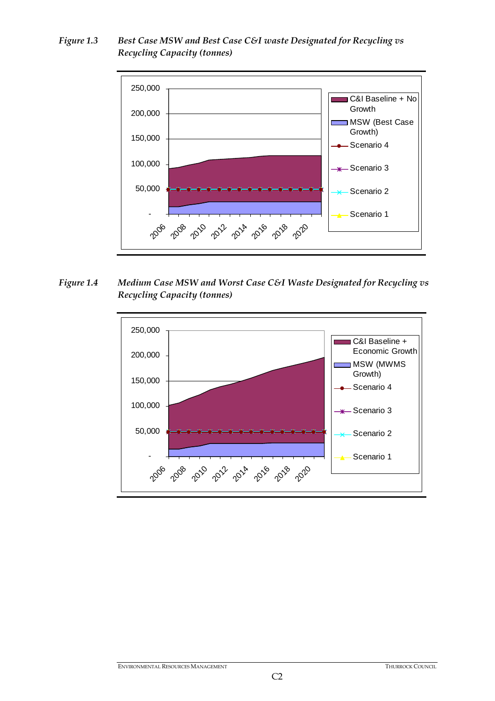*Figure 1.3 Best Case MSW and Best Case C&I waste Designated for Recycling vs Recycling Capacity (tonnes)* 



*Figure 1.4 Medium Case MSW and Worst Case C&I Waste Designated for Recycling vs Recycling Capacity (tonnes)* 

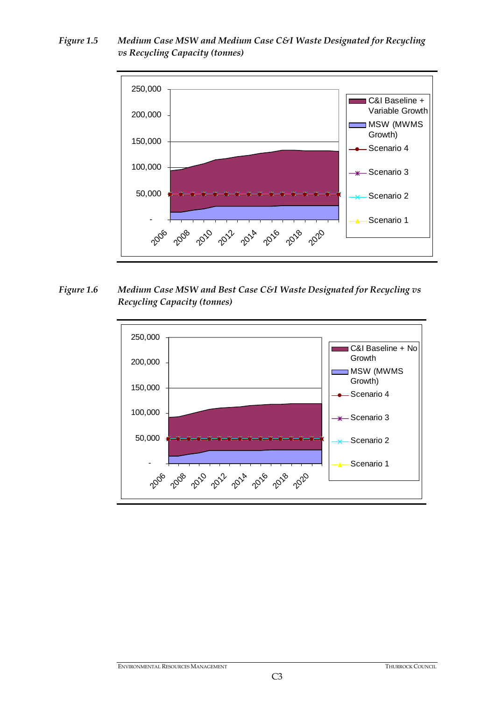*Figure 1.5 Medium Case MSW and Medium Case C&I Waste Designated for Recycling vs Recycling Capacity (tonnes)* 



*Figure 1.6 Medium Case MSW and Best Case C&I Waste Designated for Recycling vs Recycling Capacity (tonnes)* 

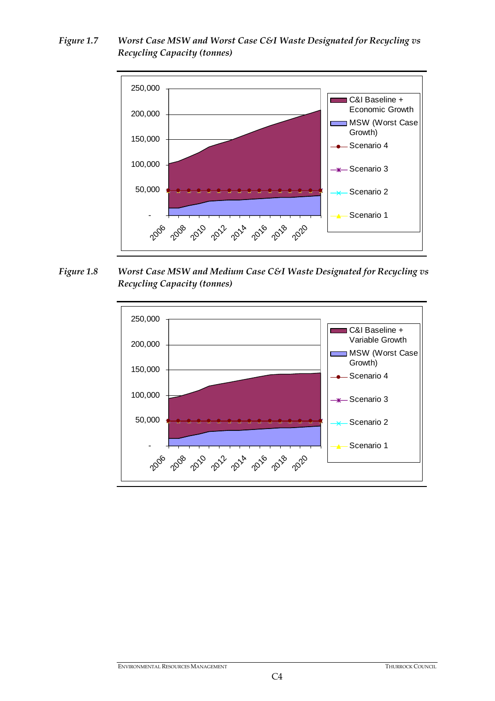*Figure 1.7 Worst Case MSW and Worst Case C&I Waste Designated for Recycling vs Recycling Capacity (tonnes)* 



*Figure 1.8 Worst Case MSW and Medium Case C&I Waste Designated for Recycling vs Recycling Capacity (tonnes)* 

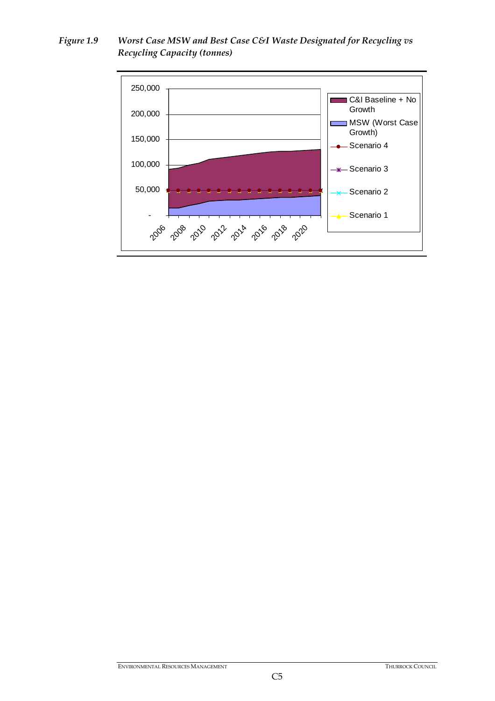*Figure 1.9 Worst Case MSW and Best Case C&I Waste Designated for Recycling vs Recycling Capacity (tonnes)* 

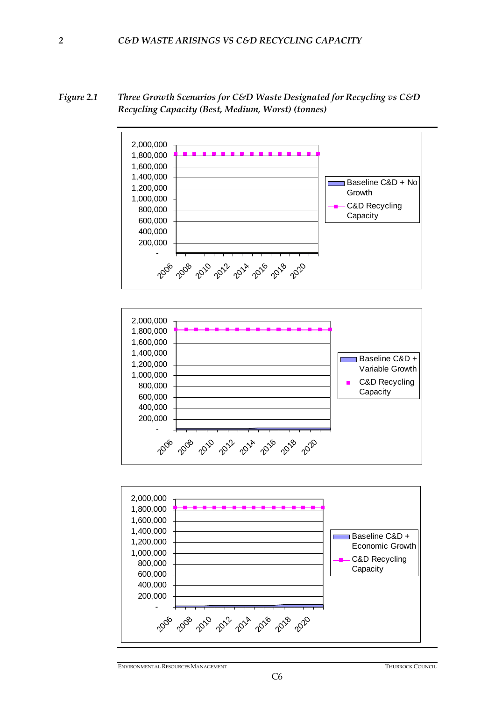*Figure 2.1 Three Growth Scenarios for C&D Waste Designated for Recycling vs C&D Recycling Capacity (Best, Medium, Worst) (tonnes)* 

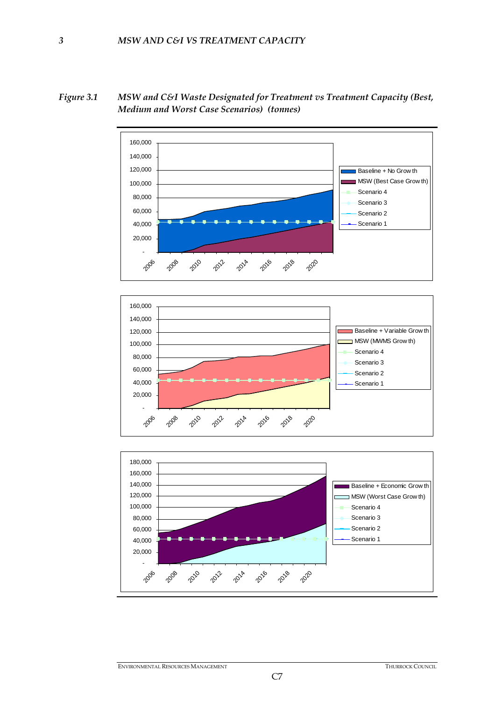

*Figure 3.1 MSW and C&I Waste Designated for Treatment vs Treatment Capacity (Best, Medium and Worst Case Scenarios) (tonnes)*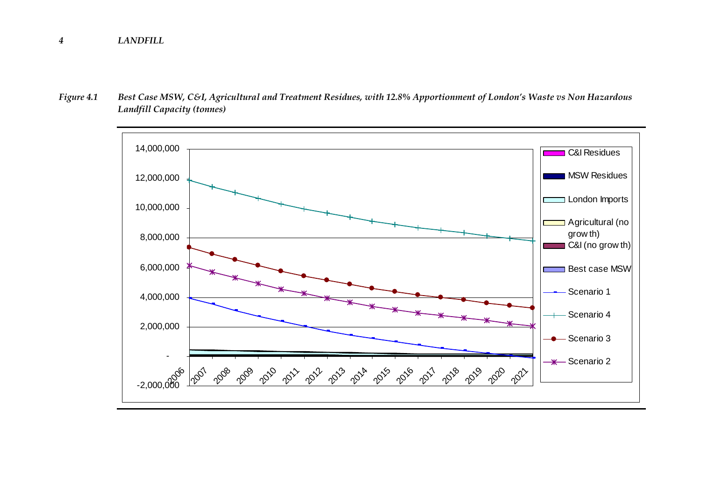#### *4LANDFILL*

*Figure 4.1 Best Case MSW, C&I, Agricultural and Treatment Residues, with 12.8% Apportionment of London's Waste vs Non Hazardous Landfill Capacity (tonnes)* 

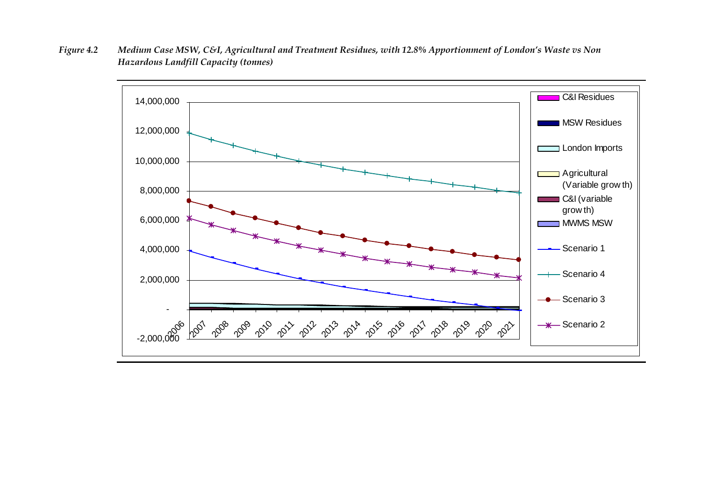*Figure 4.2 Medium Case MSW, C&I, Agricultural and Treatment Residues, with 12.8% Apportionment of London's Waste vs Non Hazardous Landfill Capacity (tonnes)* 

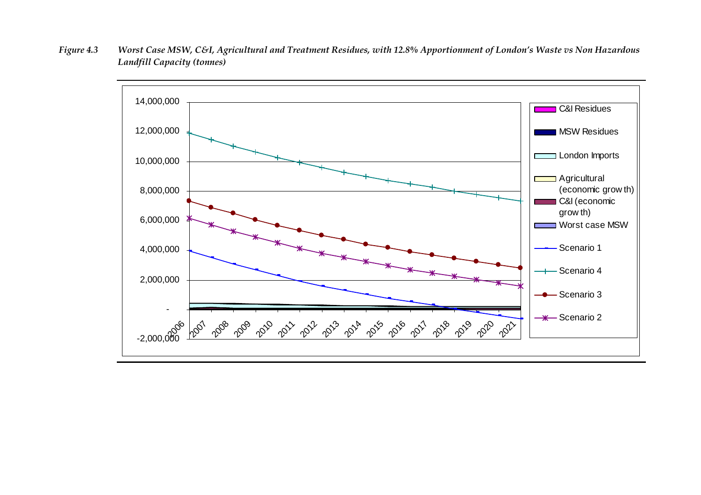*Figure 4.3 Worst Case MSW, C&I, Agricultural and Treatment Residues, with 12.8% Apportionment of London's Waste vs Non Hazardous Landfill Capacity (tonnes)* 

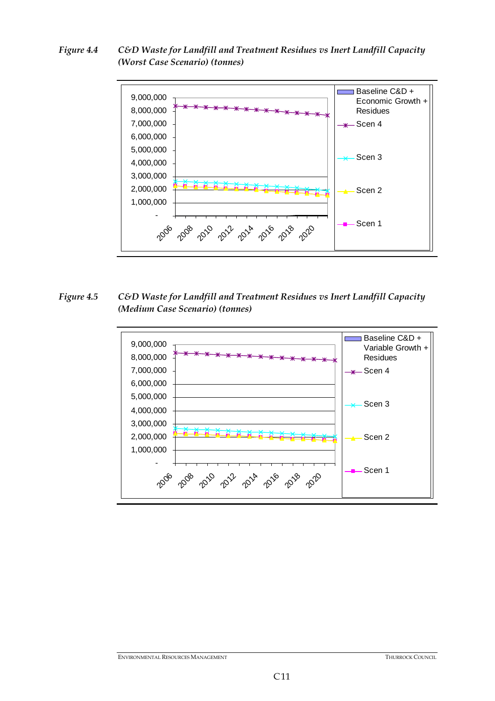*Figure 4.4 C&D Waste for Landfill and Treatment Residues vs Inert Landfill Capacity (Worst Case Scenario) (tonnes)* 



*Figure 4.5 C&D Waste for Landfill and Treatment Residues vs Inert Landfill Capacity (Medium Case Scenario) (tonnes)* 



**ENVIRONMENTAL RESOURCES MANAGEMENT THURROCK COUNCIL**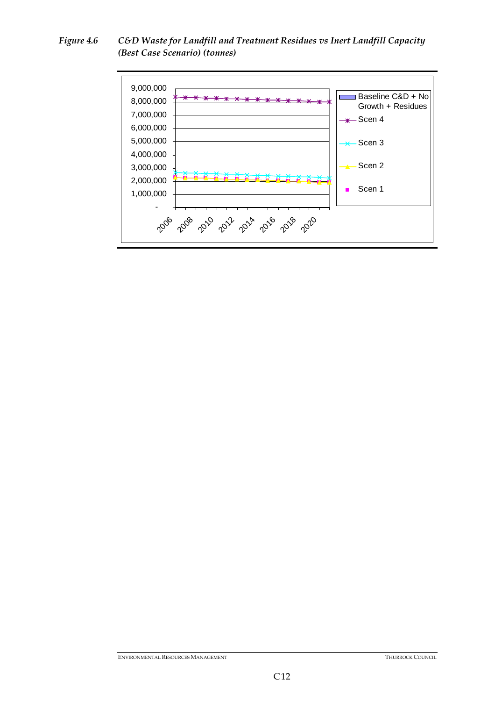*Figure 4.6 C&D Waste for Landfill and Treatment Residues vs Inert Landfill Capacity (Best Case Scenario) (tonnes)* 



**ENVIRONMENTAL RESOURCES MANAGEMENT** THURROCK COUNCIL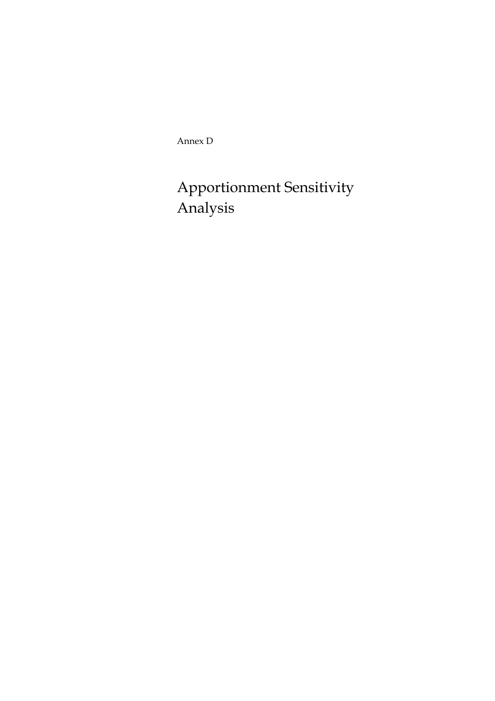Annex D

# Apportionment Sensitivity Analysis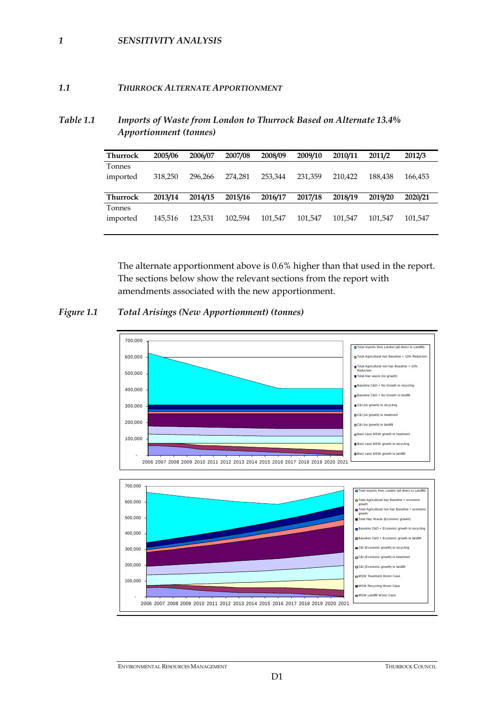### *1 SENSITIVITY ANALYSIS*

## *1.1 THURROCK ALTERNATE APPORTIONMENT*

## *Table 1.1 Imports of Waste from London to Thurrock Based on Alternate 13.4% Apportionment (tonnes)*

| <b>Thurrock</b> | 2005/06 | 2006/07 | 2007/08 | 2008/09 | 2009/10 | 2010/11 | 2011/2  | 2012/3  |  |
|-----------------|---------|---------|---------|---------|---------|---------|---------|---------|--|
| Tonnes          |         |         |         |         |         |         |         |         |  |
| imported        | 318,250 | 296.266 | 274.281 | 253,344 | 231.359 | 210.422 | 188.438 | 166.453 |  |
|                 |         |         |         |         |         |         |         |         |  |
| <b>Thurrock</b> | 2013/14 | 2014/15 | 2015/16 | 2016/17 | 2017/18 | 2018/19 | 2019/20 | 2020/21 |  |
| Tonnes          |         |         |         |         |         |         |         |         |  |
| imported        | 145.516 | 123.531 | 102.594 | 101.547 | 101.547 | 101.547 | 101.547 | 101.547 |  |
|                 |         |         |         |         |         |         |         |         |  |

The alternate apportionment above is 0.6% higher than that used in the report. The sections below show the relevant sections from the report with amendments associated with the new apportionment.

## *Figure 1.1 Total Arisings (New Apportionment) (tonnes)*



ENVIRONMENTAL RESOURCES MANAGEMENT THURROCK COUNCIL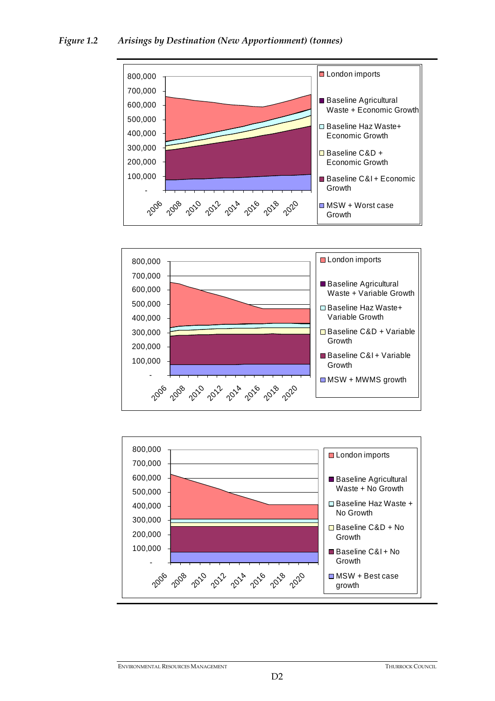





ENVIRONMENTAL RESOURCES MANAGEMENT THURROCK COUNCIL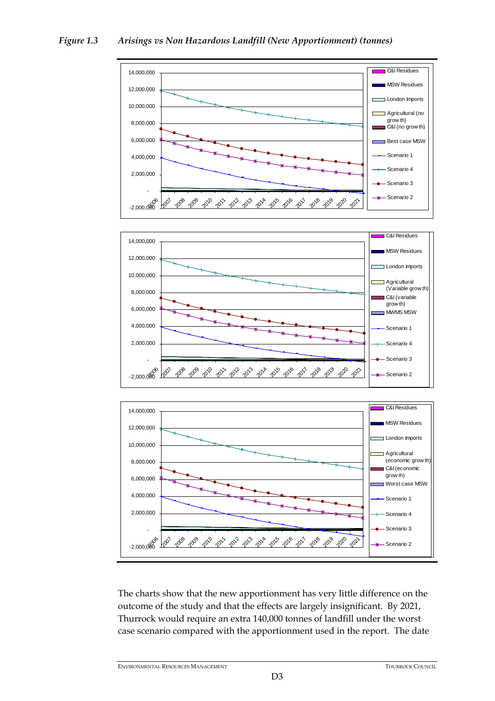#### C&I Residues 14,000,000 **MSW Residues** 12,000,000 London Imports п 10,000,000 ■ Agricultural (no F grow th) 8,000,000 C&I (no grow th) 6,000,000 **Best case MSW** Scenario 1 4,000,000 Scenario 4

20<sup>8</sup> 20<sup>0</sup> 20<sup>0</sup> 20<sup>1</sup> 20<sup>1</sup> 20<sup>1</sup> 20<sup>1</sup> 20<sup>1</sup> 201 201 201 202





The charts show that the new apportionment has very little difference on the outcome of the study and that the effects are largely insignificant. By 2021, Thurrock would require an extra 140,000 tonnes of landfill under the worst case scenario compared with the apportionment used in the report. The date

Scenario 3  $-x$  Scenario 2

ى<br>2,000,000 --

 $\mathcal{C}_0$ 

2,000,000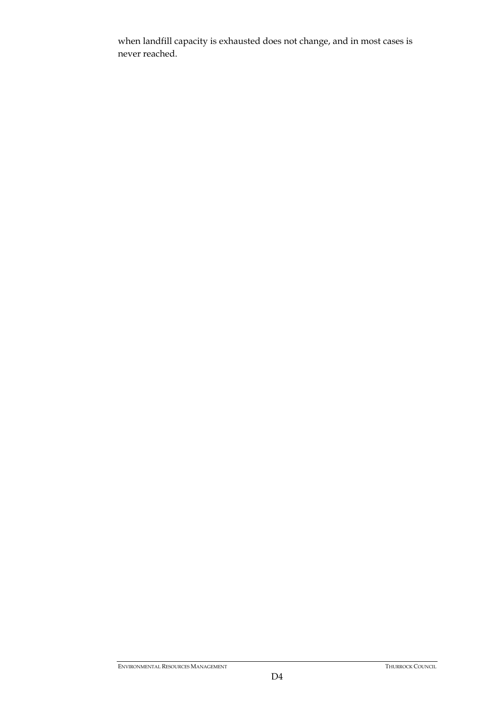when landfill capacity is exhausted does not change, and in most cases is never reached.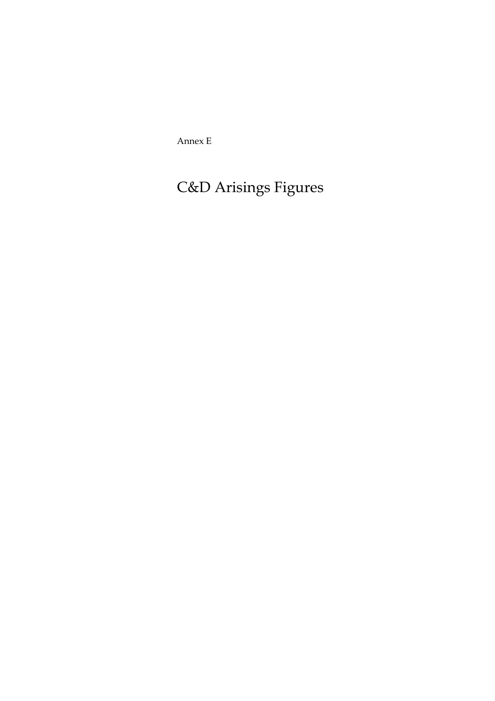Annex E

# C&D Arisings Figures